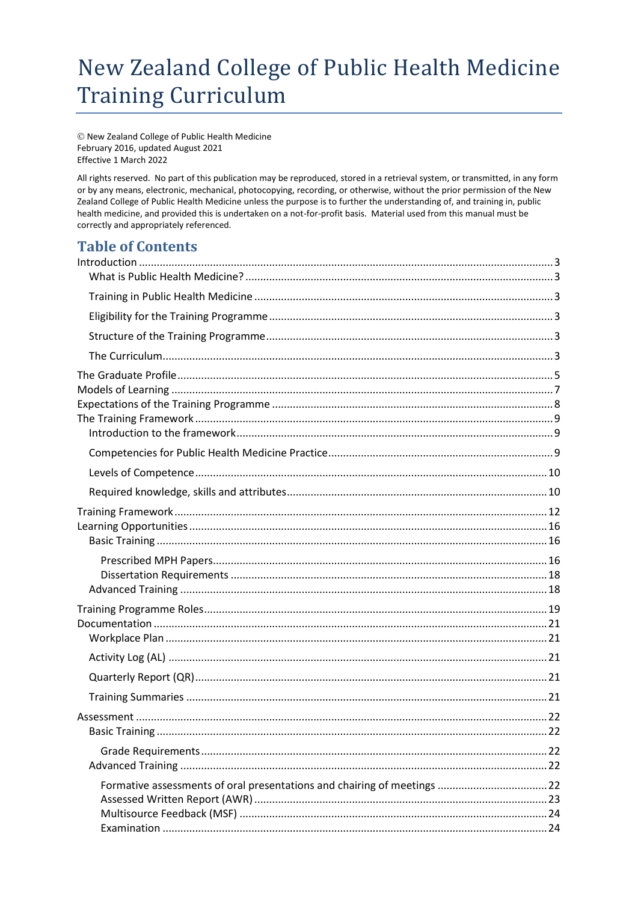# New Zealand College of Public Health Medicine **Training Curriculum**

© New Zealand College of Public Health Medicine February 2016, updated August 2021 Effective 1 March 2022

All rights reserved. No part of this publication may be reproduced, stored in a retrieval system, or transmitted, in any form or by any means, electronic, mechanical, photocopying, recording, or otherwise, without the prior permission of the New Zealand College of Public Health Medicine unless the purpose is to further the understanding of, and training in, public health medicine, and provided this is undertaken on a not-for-profit basis. Material used from this manual must be correctly and appropriately referenced.

### **Table of Contents**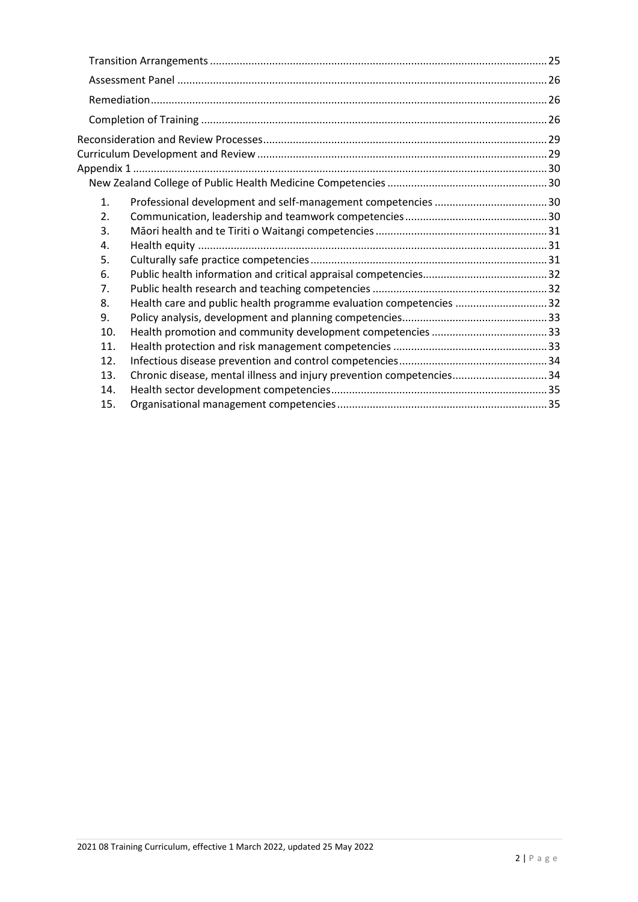| 1.  |                                                                      |  |
|-----|----------------------------------------------------------------------|--|
| 2.  |                                                                      |  |
| 3.  |                                                                      |  |
| 4.  |                                                                      |  |
| 5.  |                                                                      |  |
| 6.  |                                                                      |  |
| 7.  |                                                                      |  |
| 8.  | Health care and public health programme evaluation competencies 32   |  |
| 9.  |                                                                      |  |
| 10. |                                                                      |  |
| 11. |                                                                      |  |
| 12. |                                                                      |  |
| 13. | Chronic disease, mental illness and injury prevention competencies34 |  |
| 14. |                                                                      |  |
| 15. |                                                                      |  |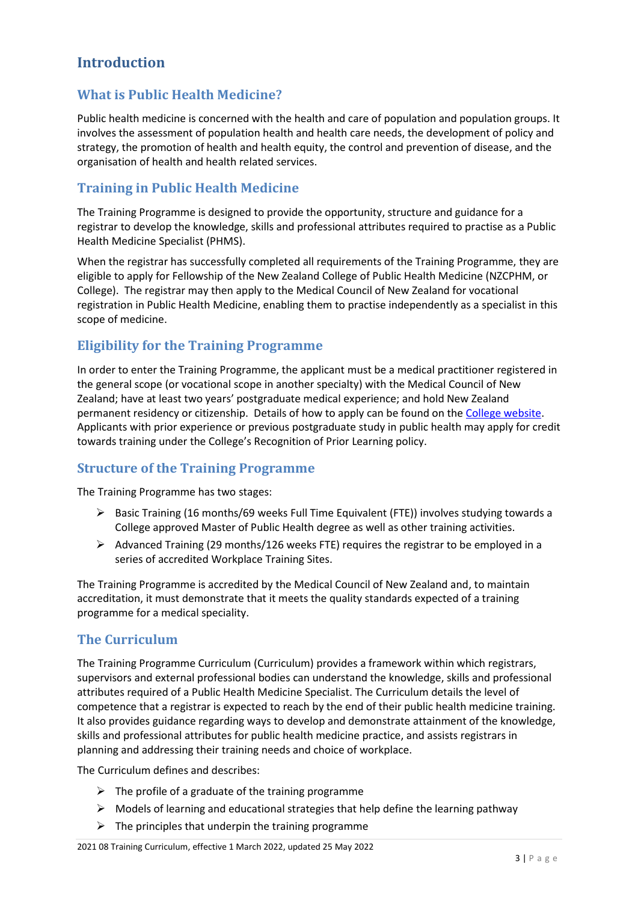### <span id="page-2-0"></span>**Introduction**

### <span id="page-2-1"></span>**What is Public Health Medicine?**

Public health medicine is concerned with the health and care of population and population groups. It involves the assessment of population health and health care needs, the development of policy and strategy, the promotion of health and health equity, the control and prevention of disease, and the organisation of health and health related services.

### <span id="page-2-2"></span>**Training in Public Health Medicine**

The Training Programme is designed to provide the opportunity, structure and guidance for a registrar to develop the knowledge, skills and professional attributes required to practise as a Public Health Medicine Specialist (PHMS).

When the registrar has successfully completed all requirements of the Training Programme, they are eligible to apply for Fellowship of the New Zealand College of Public Health Medicine (NZCPHM, or College). The registrar may then apply to the Medical Council of New Zealand for vocational registration in Public Health Medicine, enabling them to practise independently as a specialist in this scope of medicine.

### <span id="page-2-3"></span>**Eligibility for the Training Programme**

In order to enter the Training Programme, the applicant must be a medical practitioner registered in the general scope (or vocational scope in another specialty) with the Medical Council of New Zealand; have at least two years' postgraduate medical experience; and hold New Zealand permanent residency or citizenship. Details of how to apply can be found on the College [website.](http://www.nzcphm.org.nz/education-training) Applicants with prior experience or previous postgraduate study in public health may apply for credit towards training under the College's Recognition of Prior Learning policy.

#### <span id="page-2-4"></span>**Structure of the Training Programme**

The Training Programme has two stages:

- $\triangleright$  Basic Training (16 months/69 weeks Full Time Equivalent (FTE)) involves studying towards a College approved Master of Public Health degree as well as other training activities.
- ➢ Advanced Training (29 months/126 weeks FTE) requires the registrar to be employed in a series of accredited Workplace Training Sites.

The Training Programme is accredited by the Medical Council of New Zealand and, to maintain accreditation, it must demonstrate that it meets the quality standards expected of a training programme for a medical speciality.

#### <span id="page-2-5"></span>**The Curriculum**

The Training Programme Curriculum (Curriculum) provides a framework within which registrars, supervisors and external professional bodies can understand the knowledge, skills and professional attributes required of a Public Health Medicine Specialist. The Curriculum details the level of competence that a registrar is expected to reach by the end of their public health medicine training. It also provides guidance regarding ways to develop and demonstrate attainment of the knowledge, skills and professional attributes for public health medicine practice, and assists registrars in planning and addressing their training needs and choice of workplace.

The Curriculum defines and describes:

- $\triangleright$  The profile of a graduate of the training programme
- $\triangleright$  Models of learning and educational strategies that help define the learning pathway
- $\triangleright$  The principles that underpin the training programme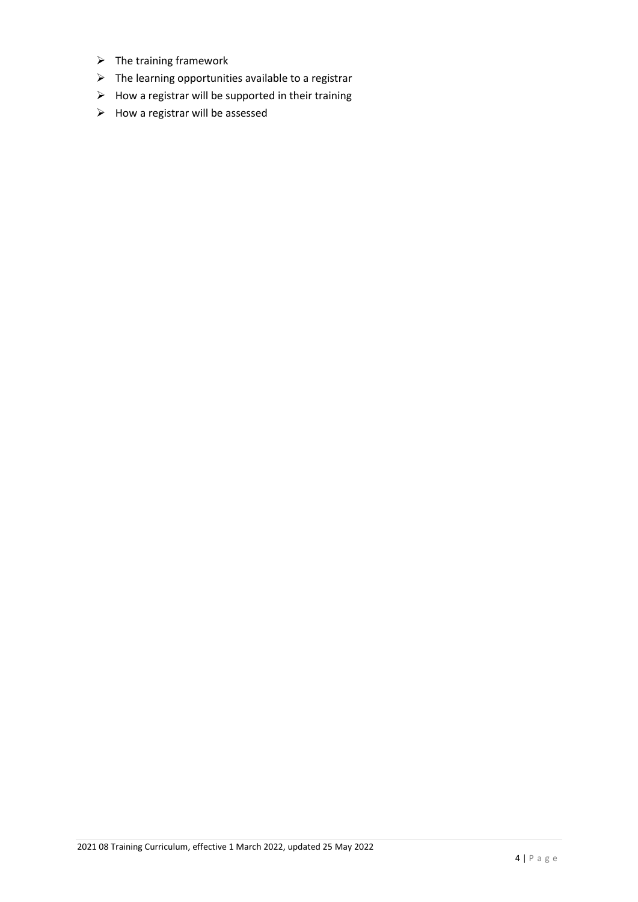- ➢ The training framework
- ➢ The learning opportunities available to a registrar
- $\triangleright$  How a registrar will be supported in their training
- ➢ How a registrar will be assessed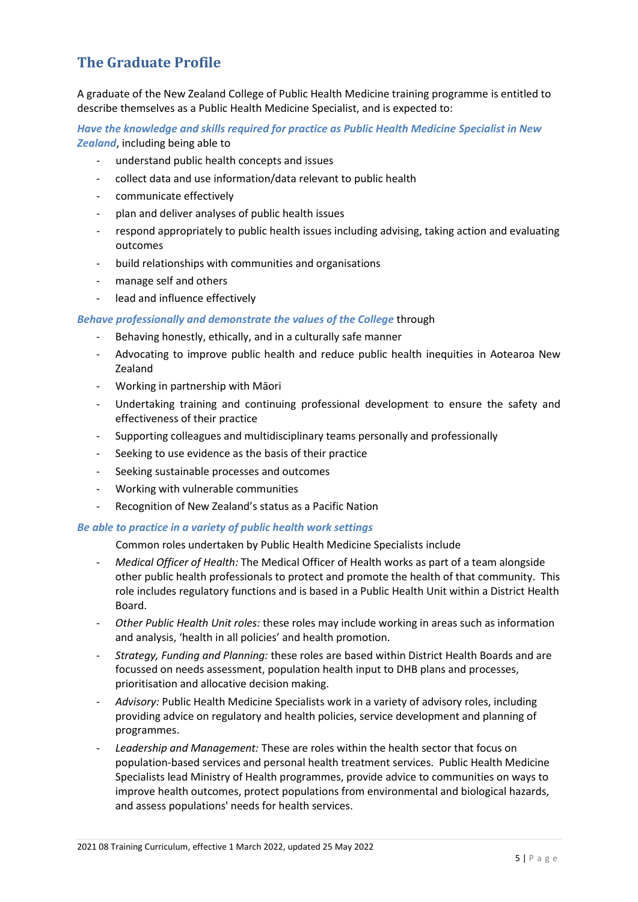### <span id="page-4-0"></span>**The Graduate Profile**

A graduate of the New Zealand College of Public Health Medicine training programme is entitled to describe themselves as a Public Health Medicine Specialist, and is expected to:

*Have the knowledge and skills required for practice as Public Health Medicine Specialist in New Zealand*, including being able to

- understand public health concepts and issues
- collect data and use information/data relevant to public health
- communicate effectively
- plan and deliver analyses of public health issues
- respond appropriately to public health issues including advising, taking action and evaluating outcomes
- build relationships with communities and organisations
- manage self and others
- lead and influence effectively

#### *Behave professionally and demonstrate the values of the College* through

- Behaving honestly, ethically, and in a culturally safe manner
- Advocating to improve public health and reduce public health inequities in Aotearoa New Zealand
- Working in partnership with Māori
- Undertaking training and continuing professional development to ensure the safety and effectiveness of their practice
- Supporting colleagues and multidisciplinary teams personally and professionally
- Seeking to use evidence as the basis of their practice
- Seeking sustainable processes and outcomes
- Working with vulnerable communities
- Recognition of New Zealand's status as a Pacific Nation

#### *Be able to practice in a variety of public health work settings*

Common roles undertaken by Public Health Medicine Specialists include

- *Medical Officer of Health:* The Medical Officer of Health works as part of a team alongside other public health professionals to protect and promote the health of that community. This role includes regulatory functions and is based in a Public Health Unit within a District Health Board.
- *Other Public Health Unit roles:* these roles may include working in areas such as information and analysis, 'health in all policies' and health promotion.
- *Strategy, Funding and Planning:* these roles are based within District Health Boards and are focussed on needs assessment, population health input to DHB plans and processes, prioritisation and allocative decision making.
- *Advisory:* Public Health Medicine Specialists work in a variety of advisory roles, including providing advice on regulatory and health policies, service development and planning of programmes.
- *Leadership and Management:* These are roles within the health sector that focus on population-based services and personal health treatment services. Public Health Medicine Specialists lead Ministry of Health programmes, provide advice to communities on ways to improve health outcomes, protect populations from environmental and biological hazards, and assess populations' needs for health services.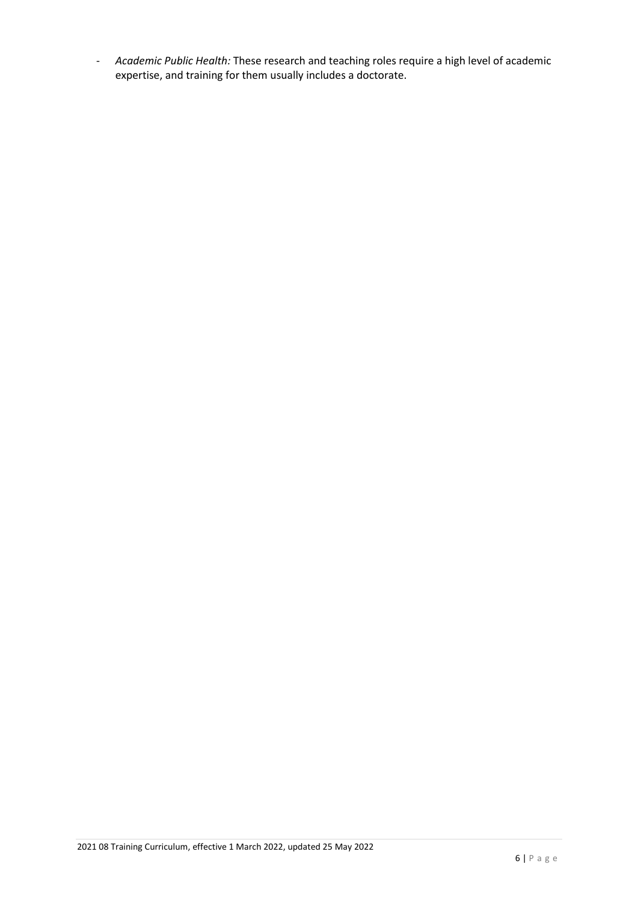- *Academic Public Health:* These research and teaching roles require a high level of academic expertise, and training for them usually includes a doctorate.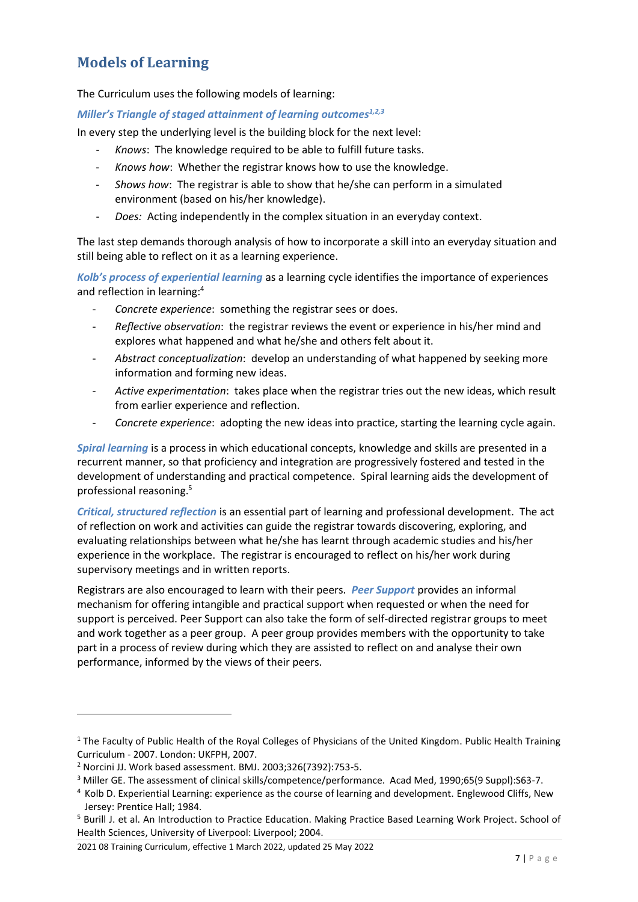### <span id="page-6-0"></span>**Models of Learning**

The Curriculum uses the following models of learning:

#### *Miller's Triangle of staged attainment of learning outcomes1,2,3*

In every step the underlying level is the building block for the next level:

- *Knows*: The knowledge required to be able to fulfill future tasks.
- Knows how: Whether the registrar knows how to use the knowledge.
- *Shows how*: The registrar is able to show that he/she can perform in a simulated environment (based on his/her knowledge).
- *Does:* Acting independently in the complex situation in an everyday context.

The last step demands thorough analysis of how to incorporate a skill into an everyday situation and still being able to reflect on it as a learning experience.

*Kolb's process of experiential learning* as a learning cycle identifies the importance of experiences and reflection in learning: 4

- *Concrete experience*: something the registrar sees or does.
- *Reflective observation*: the registrar reviews the event or experience in his/her mind and explores what happened and what he/she and others felt about it.
- *Abstract conceptualization*: develop an understanding of what happened by seeking more information and forming new ideas.
- *Active experimentation*: takes place when the registrar tries out the new ideas, which result from earlier experience and reflection.
- *Concrete experience*: adopting the new ideas into practice, starting the learning cycle again.

*Spiral learning* is a process in which educational concepts, knowledge and skills are presented in a recurrent manner, so that proficiency and integration are progressively fostered and tested in the development of understanding and practical competence. Spiral learning aids the development of professional reasoning. 5

*Critical, structured reflection* is an essential part of learning and professional development. The act of reflection on work and activities can guide the registrar towards discovering, exploring, and evaluating relationships between what he/she has learnt through academic studies and his/her experience in the workplace. The registrar is encouraged to reflect on his/her work during supervisory meetings and in written reports.

Registrars are also encouraged to learn with their peers. *Peer Support* provides an informal mechanism for offering intangible and practical support when requested or when the need for support is perceived. Peer Support can also take the form of self-directed registrar groups to meet and work together as a peer group. A peer group provides members with the opportunity to take part in a process of review during which they are assisted to reflect on and analyse their own performance, informed by the views of their peers.

 $1$  The Faculty of Public Health of the Royal Colleges of Physicians of the United Kingdom. Public Health Training Curriculum - 2007. London: UKFPH, 2007.

<sup>2</sup> Norcini JJ. Work based assessment. BMJ. 2003;326(7392):753-5.

<sup>&</sup>lt;sup>3</sup> Miller GE. The assessment of clinical skills/competence/performance. Acad Med, 1990;65(9 Suppl):S63-7.

<sup>4</sup> Kolb D. Experiential Learning: experience as the course of learning and development. Englewood Cliffs, New Jersey: Prentice Hall; 1984.

<sup>5</sup> Burill J. et al. An Introduction to Practice Education. Making Practice Based Learning Work Project. School of Health Sciences, University of Liverpool: Liverpool; 2004.

<sup>2021 08</sup> Training Curriculum, effective 1 March 2022, updated 25 May 2022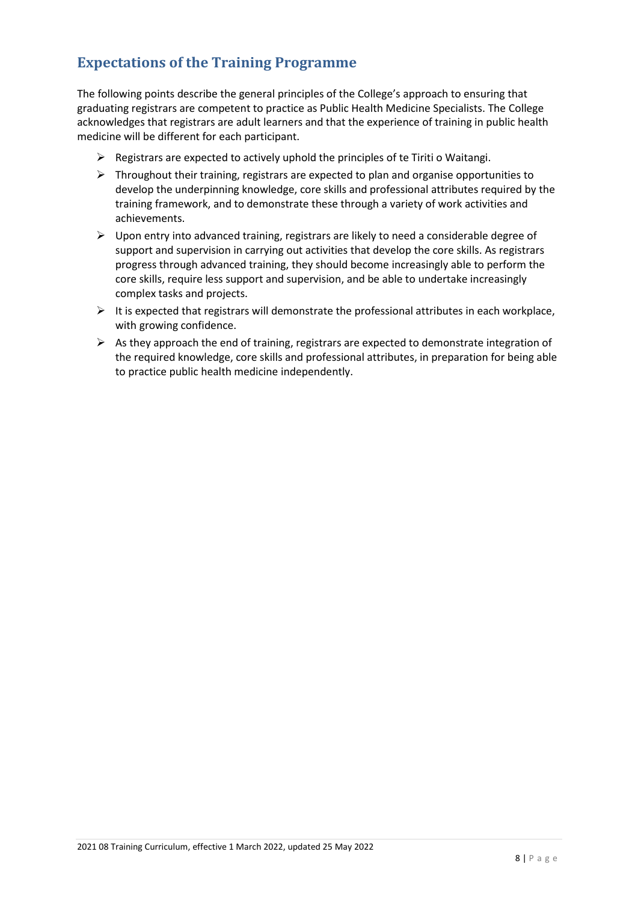### <span id="page-7-0"></span>**Expectations of the Training Programme**

The following points describe the general principles of the College's approach to ensuring that graduating registrars are competent to practice as Public Health Medicine Specialists. The College acknowledges that registrars are adult learners and that the experience of training in public health medicine will be different for each participant.

- $\triangleright$  Registrars are expected to actively uphold the principles of te Tiriti o Waitangi.
- $\triangleright$  Throughout their training, registrars are expected to plan and organise opportunities to develop the underpinning knowledge, core skills and professional attributes required by the training framework, and to demonstrate these through a variety of work activities and achievements.
- ➢ Upon entry into advanced training, registrars are likely to need a considerable degree of support and supervision in carrying out activities that develop the core skills. As registrars progress through advanced training, they should become increasingly able to perform the core skills, require less support and supervision, and be able to undertake increasingly complex tasks and projects.
- $\triangleright$  It is expected that registrars will demonstrate the professional attributes in each workplace, with growing confidence.
- $\triangleright$  As they approach the end of training, registrars are expected to demonstrate integration of the required knowledge, core skills and professional attributes, in preparation for being able to practice public health medicine independently.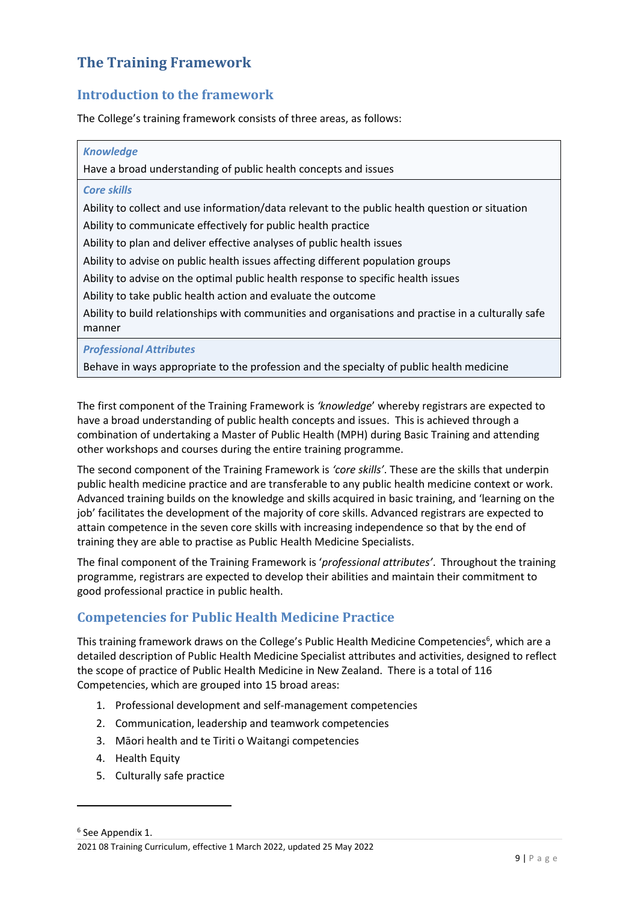### <span id="page-8-0"></span>**The Training Framework**

### <span id="page-8-1"></span>**Introduction to the framework**

The College's training framework consists of three areas, as follows:

| <b>Knowledge</b>                                                                                    |
|-----------------------------------------------------------------------------------------------------|
| Have a broad understanding of public health concepts and issues                                     |
| <b>Core skills</b>                                                                                  |
| Ability to collect and use information/data relevant to the public health question or situation     |
| Ability to communicate effectively for public health practice                                       |
| Ability to plan and deliver effective analyses of public health issues                              |
| Ability to advise on public health issues affecting different population groups                     |
| Ability to advise on the optimal public health response to specific health issues                   |
| Ability to take public health action and evaluate the outcome                                       |
| Ability to build relationships with communities and organisations and practise in a culturally safe |
| manner                                                                                              |

*Professional Attributes*

Behave in ways appropriate to the profession and the specialty of public health medicine

The first component of the Training Framework is *'knowledge*' whereby registrars are expected to have a broad understanding of public health concepts and issues. This is achieved through a combination of undertaking a Master of Public Health (MPH) during Basic Training and attending other workshops and courses during the entire training programme.

The second component of the Training Framework is *'core skills'*. These are the skills that underpin public health medicine practice and are transferable to any public health medicine context or work. Advanced training builds on the knowledge and skills acquired in basic training, and 'learning on the job' facilitates the development of the majority of core skills. Advanced registrars are expected to attain competence in the seven core skills with increasing independence so that by the end of training they are able to practise as Public Health Medicine Specialists.

The final component of the Training Framework is '*professional attributes'*. Throughout the training programme, registrars are expected to develop their abilities and maintain their commitment to good professional practice in public health.

### <span id="page-8-2"></span>**Competencies for Public Health Medicine Practice**

This training framework draws on the College's Public Health Medicine Competencies<sup>6</sup>, which are a detailed description of Public Health Medicine Specialist attributes and activities, designed to reflect the scope of practice of Public Health Medicine in New Zealand. There is a total of 116 Competencies, which are grouped into 15 broad areas:

- 1. Professional development and self-management competencies
- 2. Communication, leadership and teamwork competencies
- 3. Māori health and te Tiriti o Waitangi competencies
- 4. Health Equity
- 5. Culturally safe practice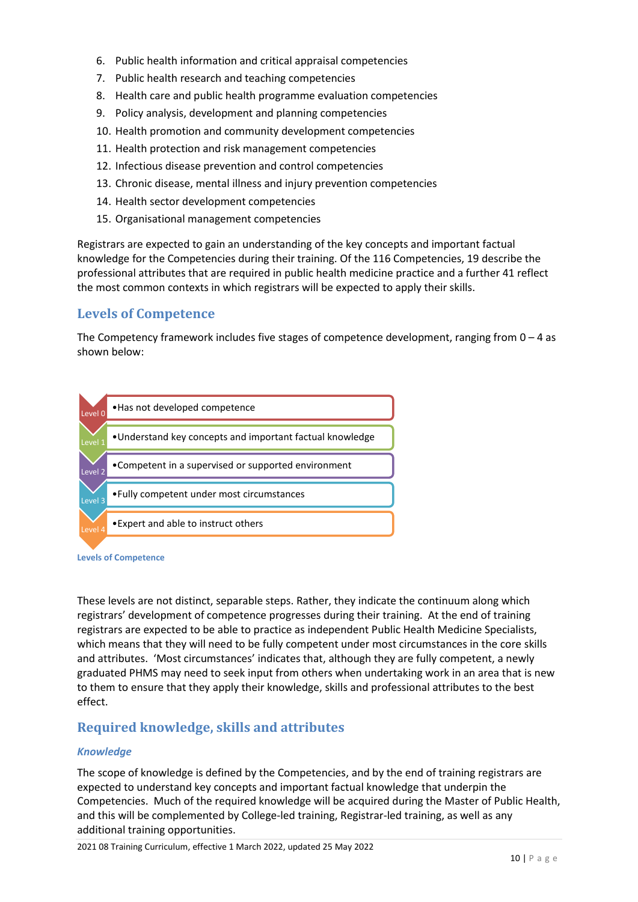- 6. Public health information and critical appraisal competencies
- 7. Public health research and teaching competencies
- 8. Health care and public health programme evaluation competencies
- 9. Policy analysis, development and planning competencies
- 10. Health promotion and community development competencies
- 11. Health protection and risk management competencies
- 12. Infectious disease prevention and control competencies
- 13. Chronic disease, mental illness and injury prevention competencies
- 14. Health sector development competencies
- 15. Organisational management competencies

Registrars are expected to gain an understanding of the key concepts and important factual knowledge for the Competencies during their training. Of the 116 Competencies, 19 describe the professional attributes that are required in public health medicine practice and a further 41 reflect the most common contexts in which registrars will be expected to apply their skills.

#### <span id="page-9-0"></span>**Levels of Competence**

The Competency framework includes five stages of competence development, ranging from  $0 - 4$  as shown below:



**Levels of Competence**

These levels are not distinct, separable steps. Rather, they indicate the continuum along which registrars' development of competence progresses during their training. At the end of training registrars are expected to be able to practice as independent Public Health Medicine Specialists, which means that they will need to be fully competent under most circumstances in the core skills and attributes. 'Most circumstances' indicates that, although they are fully competent, a newly graduated PHMS may need to seek input from others when undertaking work in an area that is new to them to ensure that they apply their knowledge, skills and professional attributes to the best effect.

### <span id="page-9-1"></span>**Required knowledge, skills and attributes**

#### *Knowledge*

The scope of knowledge is defined by the Competencies, and by the end of training registrars are expected to understand key concepts and important factual knowledge that underpin the Competencies. Much of the required knowledge will be acquired during the Master of Public Health, and this will be complemented by College-led training, Registrar-led training, as well as any additional training opportunities.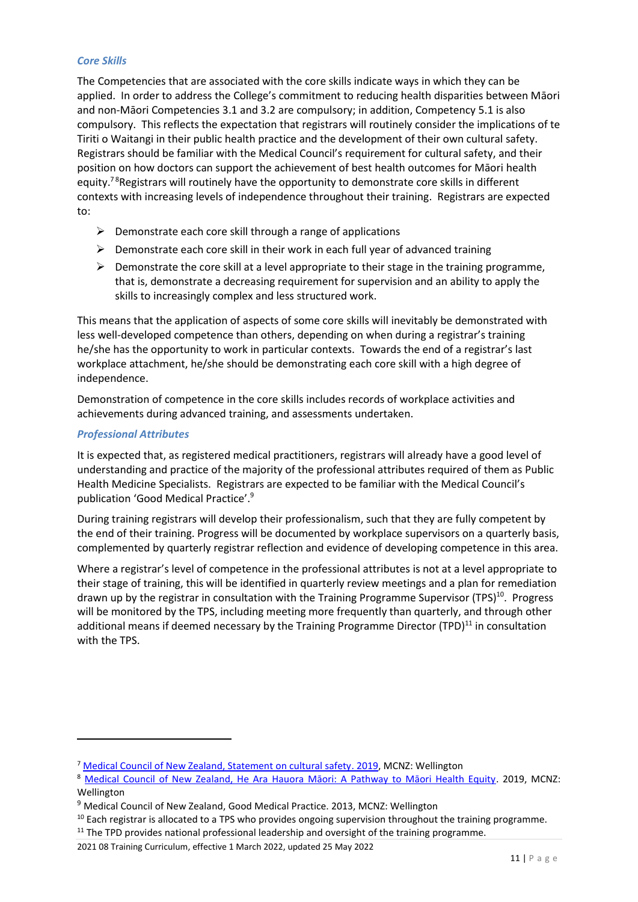#### *Core Skills*

The Competencies that are associated with the core skills indicate ways in which they can be applied. In order to address the College's commitment to reducing health disparities between Māori and non-Māori Competencies 3.1 and 3.2 are compulsory; in addition, Competency 5.1 is also compulsory. This reflects the expectation that registrars will routinely consider the implications of te Tiriti o Waitangi in their public health practice and the development of their own cultural safety. Registrars should be familiar with the Medical Council's requirement for cultural safety, and their position on how doctors can support the achievement of best health outcomes for Māori health equity.<sup>78</sup>Registrars will routinely have the opportunity to demonstrate core skills in different contexts with increasing levels of independence throughout their training. Registrars are expected to:

- $\triangleright$  Demonstrate each core skill through a range of applications
- ➢ Demonstrate each core skill in their work in each full year of advanced training
- $\triangleright$  Demonstrate the core skill at a level appropriate to their stage in the training programme, that is, demonstrate a decreasing requirement for supervision and an ability to apply the skills to increasingly complex and less structured work.

This means that the application of aspects of some core skills will inevitably be demonstrated with less well-developed competence than others, depending on when during a registrar's training he/she has the opportunity to work in particular contexts. Towards the end of a registrar's last workplace attachment, he/she should be demonstrating each core skill with a high degree of independence.

Demonstration of competence in the core skills includes records of workplace activities and achievements during advanced training, and assessments undertaken.

#### *Professional Attributes*

It is expected that, as registered medical practitioners, registrars will already have a good level of understanding and practice of the majority of the professional attributes required of them as Public Health Medicine Specialists. Registrars are expected to be familiar with the Medical Council's publication 'Good Medical Practice'.<sup>9</sup>

During training registrars will develop their professionalism, such that they are fully competent by the end of their training. Progress will be documented by workplace supervisors on a quarterly basis, complemented by quarterly registrar reflection and evidence of developing competence in this area.

Where a registrar's level of competence in the professional attributes is not at a level appropriate to their stage of training, this will be identified in quarterly review meetings and a plan for remediation drawn up by the registrar in consultation with the Training Programme Supervisor (TPS)<sup>10</sup>. Progress will be monitored by the TPS, including meeting more frequently than quarterly, and through other additional means if deemed necessary by the Training Programme Director (TPD) $^{11}$  in consultation with the TPS.

<sup>7</sup> [Medical Council of New Zealand, Statement on cultural safety.](https://www.mcnz.org.nz/assets/standards/b71d139dca/Statement-on-cultural-safety.pdf) 2019, MCNZ: Wellington

<sup>&</sup>lt;sup>8</sup> Medical Council of New Zeala[nd, He Ara Hauora Māori: A Pathway to Māori Health Equity](https://www.mcnz.org.nz/assets/standards/6c2ece58e8/He-Ara-Hauora-Maori-A-Pathway-to-Maori-Health-Equity.pdf). 2019, MCNZ: Wellington

<sup>&</sup>lt;sup>9</sup> Medical Council of New Zealand, Good Medical Practice. 2013, MCNZ: Wellington

<sup>&</sup>lt;sup>10</sup> Each registrar is allocated to a TPS who provides ongoing supervision throughout the training programme.

<sup>&</sup>lt;sup>11</sup> The TPD provides national professional leadership and oversight of the training programme.

<sup>2021 08</sup> Training Curriculum, effective 1 March 2022, updated 25 May 2022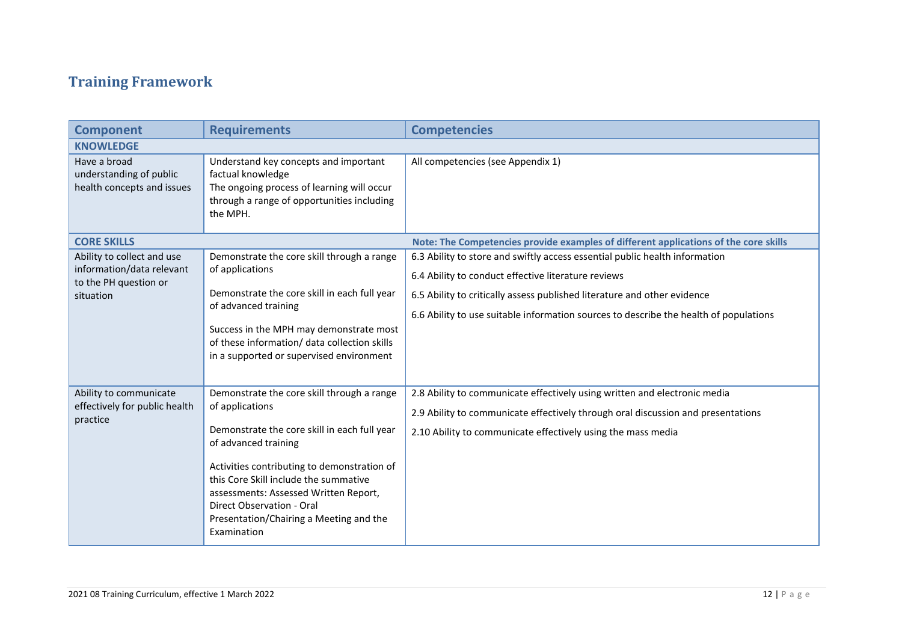# **Training Framework**

<span id="page-11-0"></span>

| <b>Component</b>                                                                              | <b>Requirements</b>                                                                                                                                                                                                                                                                                                                                           | <b>Competencies</b>                                                                                                                                                                                                                                                                                     |
|-----------------------------------------------------------------------------------------------|---------------------------------------------------------------------------------------------------------------------------------------------------------------------------------------------------------------------------------------------------------------------------------------------------------------------------------------------------------------|---------------------------------------------------------------------------------------------------------------------------------------------------------------------------------------------------------------------------------------------------------------------------------------------------------|
| <b>KNOWLEDGE</b>                                                                              |                                                                                                                                                                                                                                                                                                                                                               |                                                                                                                                                                                                                                                                                                         |
| Have a broad<br>understanding of public<br>health concepts and issues                         | Understand key concepts and important<br>factual knowledge<br>The ongoing process of learning will occur<br>through a range of opportunities including<br>the MPH.                                                                                                                                                                                            | All competencies (see Appendix 1)                                                                                                                                                                                                                                                                       |
| <b>CORE SKILLS</b>                                                                            |                                                                                                                                                                                                                                                                                                                                                               | Note: The Competencies provide examples of different applications of the core skills                                                                                                                                                                                                                    |
| Ability to collect and use<br>information/data relevant<br>to the PH question or<br>situation | Demonstrate the core skill through a range<br>of applications<br>Demonstrate the core skill in each full year<br>of advanced training<br>Success in the MPH may demonstrate most<br>of these information/ data collection skills<br>in a supported or supervised environment                                                                                  | 6.3 Ability to store and swiftly access essential public health information<br>6.4 Ability to conduct effective literature reviews<br>6.5 Ability to critically assess published literature and other evidence<br>6.6 Ability to use suitable information sources to describe the health of populations |
| Ability to communicate<br>effectively for public health<br>practice                           | Demonstrate the core skill through a range<br>of applications<br>Demonstrate the core skill in each full year<br>of advanced training<br>Activities contributing to demonstration of<br>this Core Skill include the summative<br>assessments: Assessed Written Report,<br>Direct Observation - Oral<br>Presentation/Chairing a Meeting and the<br>Examination | 2.8 Ability to communicate effectively using written and electronic media<br>2.9 Ability to communicate effectively through oral discussion and presentations<br>2.10 Ability to communicate effectively using the mass media                                                                           |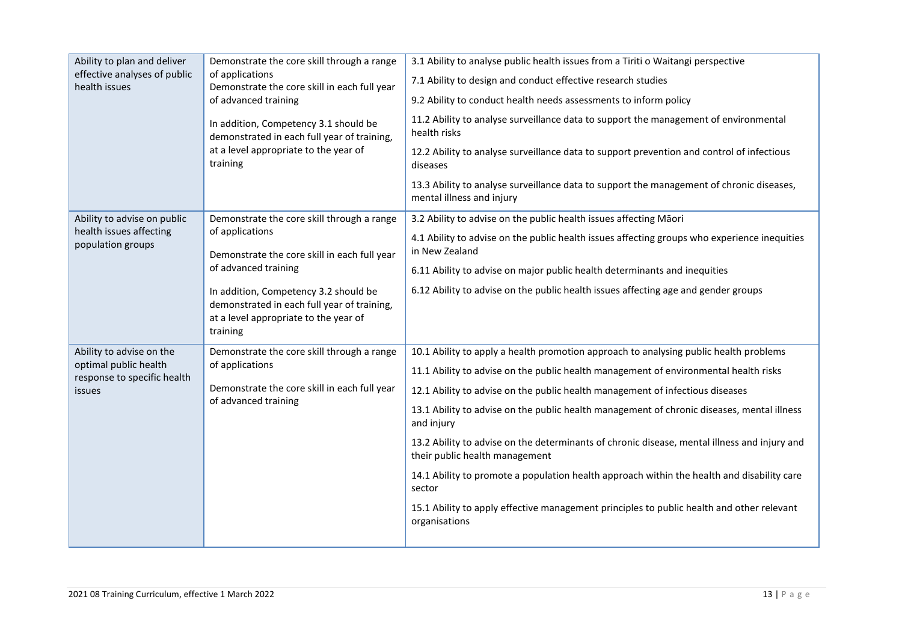| Ability to plan and deliver<br>effective analyses of public<br>health issues               | Demonstrate the core skill through a range<br>of applications<br>Demonstrate the core skill in each full year<br>of advanced training<br>In addition, Competency 3.1 should be<br>demonstrated in each full year of training,<br>at a level appropriate to the year of<br>training | 3.1 Ability to analyse public health issues from a Tiriti o Waitangi perspective<br>7.1 Ability to design and conduct effective research studies<br>9.2 Ability to conduct health needs assessments to inform policy<br>11.2 Ability to analyse surveillance data to support the management of environmental<br>health risks<br>12.2 Ability to analyse surveillance data to support prevention and control of infectious<br>diseases<br>13.3 Ability to analyse surveillance data to support the management of chronic diseases,<br>mental illness and injury                                                                                                                                                                     |
|--------------------------------------------------------------------------------------------|------------------------------------------------------------------------------------------------------------------------------------------------------------------------------------------------------------------------------------------------------------------------------------|------------------------------------------------------------------------------------------------------------------------------------------------------------------------------------------------------------------------------------------------------------------------------------------------------------------------------------------------------------------------------------------------------------------------------------------------------------------------------------------------------------------------------------------------------------------------------------------------------------------------------------------------------------------------------------------------------------------------------------|
| Ability to advise on public<br>health issues affecting<br>population groups                | Demonstrate the core skill through a range<br>of applications<br>Demonstrate the core skill in each full year<br>of advanced training<br>In addition, Competency 3.2 should be<br>demonstrated in each full year of training,<br>at a level appropriate to the year of<br>training | 3.2 Ability to advise on the public health issues affecting Māori<br>4.1 Ability to advise on the public health issues affecting groups who experience inequities<br>in New Zealand<br>6.11 Ability to advise on major public health determinants and inequities<br>6.12 Ability to advise on the public health issues affecting age and gender groups                                                                                                                                                                                                                                                                                                                                                                             |
| Ability to advise on the<br>optimal public health<br>response to specific health<br>issues | Demonstrate the core skill through a range<br>of applications<br>Demonstrate the core skill in each full year<br>of advanced training                                                                                                                                              | 10.1 Ability to apply a health promotion approach to analysing public health problems<br>11.1 Ability to advise on the public health management of environmental health risks<br>12.1 Ability to advise on the public health management of infectious diseases<br>13.1 Ability to advise on the public health management of chronic diseases, mental illness<br>and injury<br>13.2 Ability to advise on the determinants of chronic disease, mental illness and injury and<br>their public health management<br>14.1 Ability to promote a population health approach within the health and disability care<br>sector<br>15.1 Ability to apply effective management principles to public health and other relevant<br>organisations |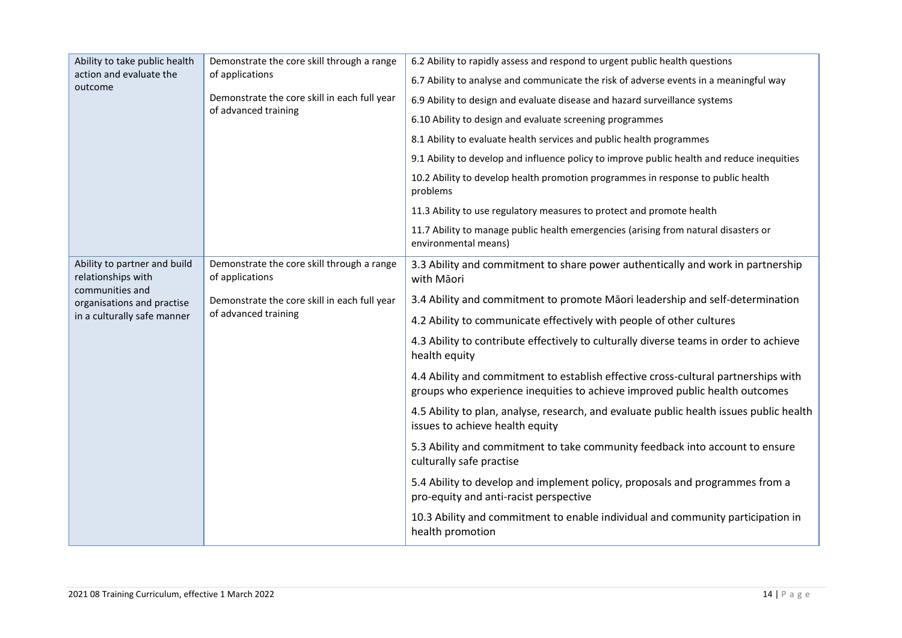| Ability to take public health                      | Demonstrate the core skill through a range                           | 6.2 Ability to rapidly assess and respond to urgent public health questions                                                                                       |
|----------------------------------------------------|----------------------------------------------------------------------|-------------------------------------------------------------------------------------------------------------------------------------------------------------------|
| action and evaluate the<br>outcome                 | of applications                                                      | 6.7 Ability to analyse and communicate the risk of adverse events in a meaningful way                                                                             |
|                                                    | Demonstrate the core skill in each full year<br>of advanced training | 6.9 Ability to design and evaluate disease and hazard surveillance systems                                                                                        |
|                                                    |                                                                      | 6.10 Ability to design and evaluate screening programmes                                                                                                          |
|                                                    |                                                                      | 8.1 Ability to evaluate health services and public health programmes                                                                                              |
|                                                    |                                                                      | 9.1 Ability to develop and influence policy to improve public health and reduce inequities                                                                        |
|                                                    |                                                                      | 10.2 Ability to develop health promotion programmes in response to public health<br>problems                                                                      |
|                                                    |                                                                      | 11.3 Ability to use regulatory measures to protect and promote health                                                                                             |
|                                                    |                                                                      | 11.7 Ability to manage public health emergencies (arising from natural disasters or<br>environmental means)                                                       |
| Ability to partner and build<br>relationships with | Demonstrate the core skill through a range<br>of applications        | 3.3 Ability and commitment to share power authentically and work in partnership<br>with Māori                                                                     |
| communities and<br>organisations and practise      | Demonstrate the core skill in each full year<br>of advanced training | 3.4 Ability and commitment to promote Māori leadership and self-determination                                                                                     |
| in a culturally safe manner                        |                                                                      | 4.2 Ability to communicate effectively with people of other cultures                                                                                              |
|                                                    |                                                                      | 4.3 Ability to contribute effectively to culturally diverse teams in order to achieve<br>health equity                                                            |
|                                                    |                                                                      | 4.4 Ability and commitment to establish effective cross-cultural partnerships with<br>groups who experience inequities to achieve improved public health outcomes |
|                                                    |                                                                      | 4.5 Ability to plan, analyse, research, and evaluate public health issues public health<br>issues to achieve health equity                                        |
|                                                    |                                                                      | 5.3 Ability and commitment to take community feedback into account to ensure<br>culturally safe practise                                                          |
|                                                    |                                                                      | 5.4 Ability to develop and implement policy, proposals and programmes from a<br>pro-equity and anti-racist perspective                                            |
|                                                    |                                                                      | 10.3 Ability and commitment to enable individual and community participation in<br>health promotion                                                               |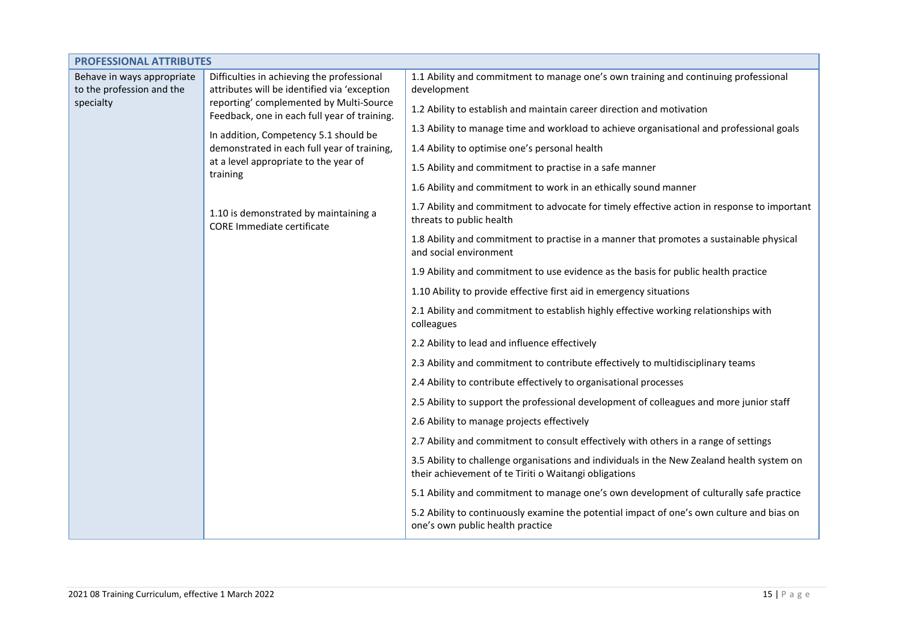| <b>PROFESSIONAL ATTRIBUTES</b>                                                    |                                                                                                  |                                                                                                                                                     |
|-----------------------------------------------------------------------------------|--------------------------------------------------------------------------------------------------|-----------------------------------------------------------------------------------------------------------------------------------------------------|
| Behave in ways appropriate                                                        | Difficulties in achieving the professional                                                       | 1.1 Ability and commitment to manage one's own training and continuing professional                                                                 |
| to the profession and the<br>specialty<br>reporting' complemented by Multi-Source | attributes will be identified via 'exception                                                     | development                                                                                                                                         |
|                                                                                   | Feedback, one in each full year of training.                                                     | 1.2 Ability to establish and maintain career direction and motivation                                                                               |
|                                                                                   | In addition, Competency 5.1 should be                                                            | 1.3 Ability to manage time and workload to achieve organisational and professional goals                                                            |
|                                                                                   | demonstrated in each full year of training,<br>at a level appropriate to the year of<br>training | 1.4 Ability to optimise one's personal health                                                                                                       |
|                                                                                   |                                                                                                  | 1.5 Ability and commitment to practise in a safe manner                                                                                             |
|                                                                                   |                                                                                                  | 1.6 Ability and commitment to work in an ethically sound manner                                                                                     |
|                                                                                   | 1.10 is demonstrated by maintaining a<br>CORE Immediate certificate                              | 1.7 Ability and commitment to advocate for timely effective action in response to important<br>threats to public health                             |
|                                                                                   |                                                                                                  | 1.8 Ability and commitment to practise in a manner that promotes a sustainable physical<br>and social environment                                   |
|                                                                                   |                                                                                                  | 1.9 Ability and commitment to use evidence as the basis for public health practice                                                                  |
|                                                                                   |                                                                                                  | 1.10 Ability to provide effective first aid in emergency situations                                                                                 |
|                                                                                   |                                                                                                  | 2.1 Ability and commitment to establish highly effective working relationships with<br>colleagues                                                   |
|                                                                                   |                                                                                                  | 2.2 Ability to lead and influence effectively                                                                                                       |
|                                                                                   |                                                                                                  | 2.3 Ability and commitment to contribute effectively to multidisciplinary teams                                                                     |
|                                                                                   |                                                                                                  | 2.4 Ability to contribute effectively to organisational processes                                                                                   |
|                                                                                   |                                                                                                  | 2.5 Ability to support the professional development of colleagues and more junior staff                                                             |
|                                                                                   |                                                                                                  | 2.6 Ability to manage projects effectively                                                                                                          |
|                                                                                   |                                                                                                  | 2.7 Ability and commitment to consult effectively with others in a range of settings                                                                |
|                                                                                   |                                                                                                  | 3.5 Ability to challenge organisations and individuals in the New Zealand health system on<br>their achievement of te Tiriti o Waitangi obligations |
|                                                                                   |                                                                                                  | 5.1 Ability and commitment to manage one's own development of culturally safe practice                                                              |
|                                                                                   |                                                                                                  | 5.2 Ability to continuously examine the potential impact of one's own culture and bias on<br>one's own public health practice                       |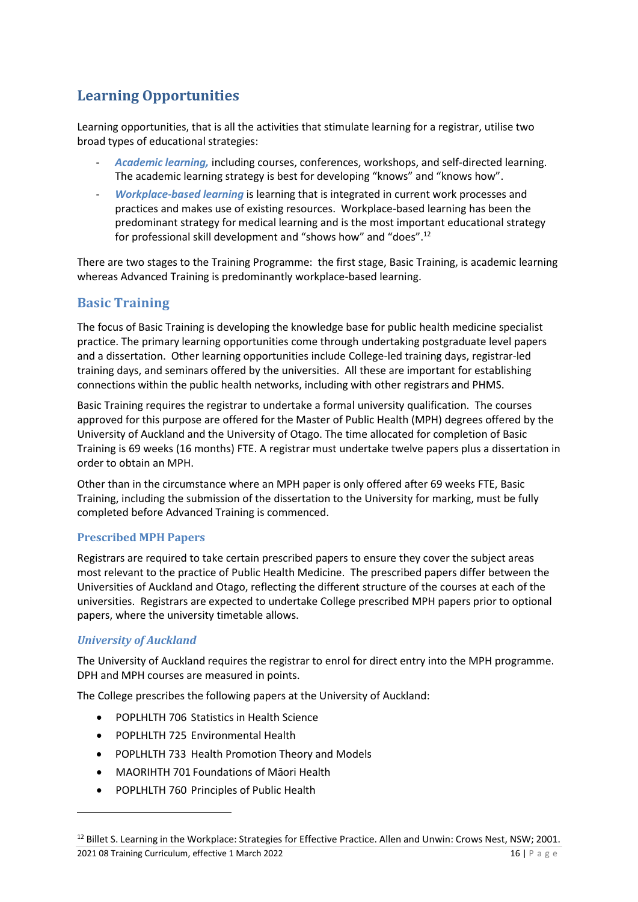## <span id="page-15-0"></span>**Learning Opportunities**

Learning opportunities, that is all the activities that stimulate learning for a registrar, utilise two broad types of educational strategies:

- Academic learning, including courses, conferences, workshops, and self-directed learning. The academic learning strategy is best for developing "knows" and "knows how".
- *Workplace-based learning* is learning that is integrated in current work processes and practices and makes use of existing resources. Workplace-based learning has been the predominant strategy for medical learning and is the most important educational strategy for professional skill development and "shows how" and "does".<sup>12</sup>

There are two stages to the Training Programme: the first stage, Basic Training, is academic learning whereas Advanced Training is predominantly workplace-based learning.

### <span id="page-15-1"></span>**Basic Training**

The focus of Basic Training is developing the knowledge base for public health medicine specialist practice. The primary learning opportunities come through undertaking postgraduate level papers and a dissertation. Other learning opportunities include College-led training days, registrar-led training days, and seminars offered by the universities. All these are important for establishing connections within the public health networks, including with other registrars and PHMS.

Basic Training requires the registrar to undertake a formal university qualification. The courses approved for this purpose are offered for the Master of Public Health (MPH) degrees offered by the University of Auckland and the University of Otago. The time allocated for completion of Basic Training is 69 weeks (16 months) FTE. A registrar must undertake twelve papers plus a dissertation in order to obtain an MPH.

Other than in the circumstance where an MPH paper is only offered after 69 weeks FTE, Basic Training, including the submission of the dissertation to the University for marking, must be fully completed before Advanced Training is commenced.

#### <span id="page-15-2"></span>**Prescribed MPH Papers**

Registrars are required to take certain prescribed papers to ensure they cover the subject areas most relevant to the practice of Public Health Medicine. The prescribed papers differ between the Universities of Auckland and Otago, reflecting the different structure of the courses at each of the universities. Registrars are expected to undertake College prescribed MPH papers prior to optional papers, where the university timetable allows.

#### *University of Auckland*

The University of Auckland requires the registrar to enrol for direct entry into the MPH programme. DPH and MPH courses are measured in points.

The College prescribes the following papers at the University of Auckland:

- POPLHLTH 706 Statistics in Health Science
- POPLHLTH 725 Environmental Health
- POPLHLTH 733 Health Promotion Theory and Models
- MAORIHTH 701 Foundations of Māori Health
- POPLHLTH 760 Principles of Public Health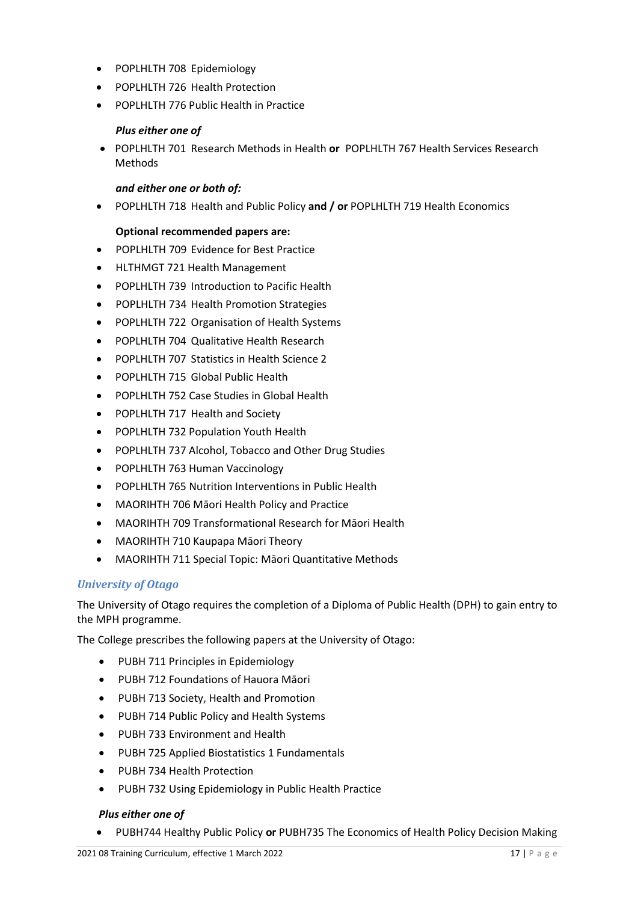- POPLHLTH 708 Epidemiology
- POPLHLTH 726 Health Protection
- POPLHLTH 776 Public Health in Practice

#### *Plus either one of*

• POPLHLTH 701 Research Methods in Health **or** POPLHLTH 767 Health Services Research Methods

#### *and either one or both of:*

• POPLHLTH 718 Health and Public Policy **and / or** POPLHLTH 719 Health Economics

#### **Optional recommended papers are:**

- POPLHLTH 709 Evidence for Best Practice
- HLTHMGT 721 Health Management
- POPLHLTH 739 Introduction to Pacific Health
- POPLHLTH 734 Health Promotion Strategies
- POPLHLTH 722 Organisation of Health Systems
- POPLHLTH 704 Qualitative Health Research
- POPLHLTH 707 Statistics in Health Science 2
- POPLHLTH 715 Global Public Health
- POPLHLTH 752 Case Studies in Global Health
- POPLHLTH 717 Health and Society
- POPLHLTH 732 Population Youth Health
- POPLHLTH 737 Alcohol, Tobacco and Other Drug Studies
- POPLHLTH 763 Human Vaccinology
- POPLHLTH 765 Nutrition Interventions in Public Health
- MAORIHTH 706 Māori Health Policy and Practice
- MAORIHTH 709 Transformational Research for Māori Health
- MAORIHTH 710 Kaupapa Māori Theory
- MAORIHTH 711 Special Topic: Māori Quantitative Methods

#### *University of Otago*

The University of Otago requires the completion of a Diploma of Public Health (DPH) to gain entry to the MPH programme.

The College prescribes the following papers at the University of Otago:

- PUBH 711 Principles in Epidemiology
- PUBH 712 Foundations of Hauora Māori
- PUBH 713 Society, Health and Promotion
- PUBH 714 Public Policy and Health Systems
- PUBH 733 Environment and Health
- PUBH 725 Applied Biostatistics 1 Fundamentals
- PUBH 734 Health Protection
- PUBH 732 Using Epidemiology in Public Health Practice

#### *Plus either one of*

• PUBH744 Healthy Public Policy **or** PUBH735 The Economics of Health Policy Decision Making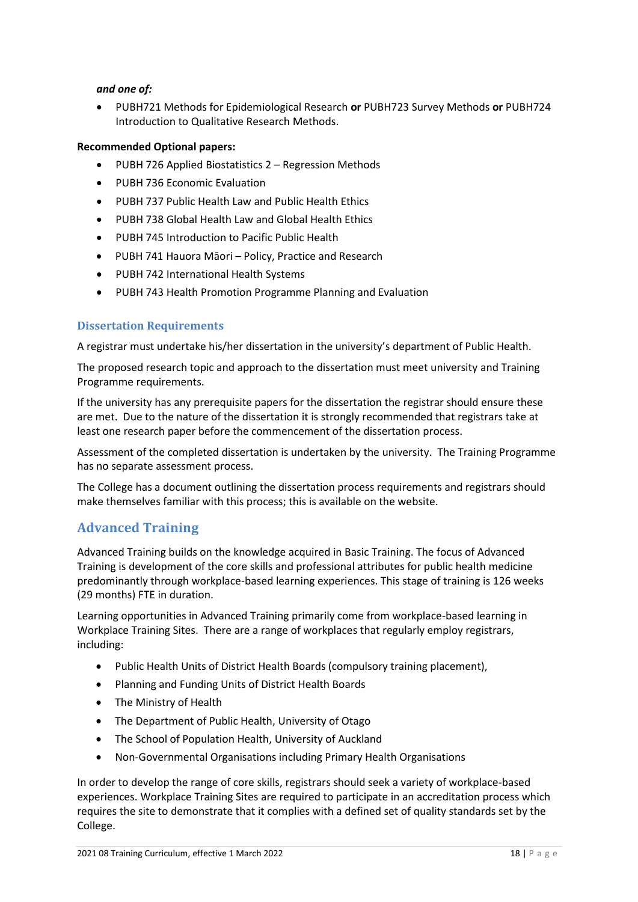#### *and one of:*

• PUBH721 Methods for Epidemiological Research **or** PUBH723 Survey Methods **or** PUBH724 Introduction to Qualitative Research Methods.

#### **Recommended Optional papers:**

- PUBH 726 Applied Biostatistics 2 Regression Methods
- PUBH 736 Economic Evaluation
- PUBH 737 Public Health Law and Public Health Ethics
- PUBH 738 Global Health Law and Global Health Ethics
- PUBH 745 Introduction to Pacific Public Health
- PUBH 741 Hauora Māori Policy, Practice and Research
- PUBH 742 International Health Systems
- PUBH 743 Health Promotion Programme Planning and Evaluation

#### <span id="page-17-0"></span>**Dissertation Requirements**

A registrar must undertake his/her dissertation in the university's department of Public Health.

The proposed research topic and approach to the dissertation must meet university and Training Programme requirements.

If the university has any prerequisite papers for the dissertation the registrar should ensure these are met. Due to the nature of the dissertation it is strongly recommended that registrars take at least one research paper before the commencement of the dissertation process.

Assessment of the completed dissertation is undertaken by the university. The Training Programme has no separate assessment process.

The College has a document outlining the dissertation process requirements and registrars should make themselves familiar with this process; this is available on the website.

#### <span id="page-17-1"></span>**Advanced Training**

Advanced Training builds on the knowledge acquired in Basic Training. The focus of Advanced Training is development of the core skills and professional attributes for public health medicine predominantly through workplace-based learning experiences. This stage of training is 126 weeks (29 months) FTE in duration.

Learning opportunities in Advanced Training primarily come from workplace-based learning in Workplace Training Sites. There are a range of workplaces that regularly employ registrars, including:

- Public Health Units of District Health Boards (compulsory training placement),
- Planning and Funding Units of District Health Boards
- The Ministry of Health
- The Department of Public Health, University of Otago
- The School of Population Health, University of Auckland
- Non-Governmental Organisations including Primary Health Organisations

In order to develop the range of core skills, registrars should seek a variety of workplace-based experiences. Workplace Training Sites are required to participate in an accreditation process which requires the site to demonstrate that it complies with a defined set of quality standards set by the College.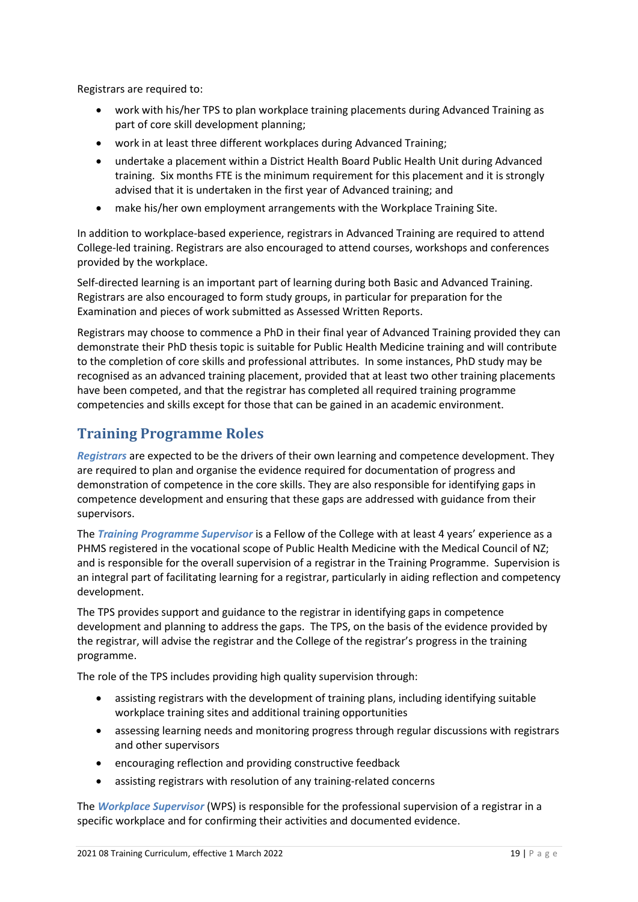Registrars are required to:

- work with his/her TPS to plan workplace training placements during Advanced Training as part of core skill development planning;
- work in at least three different workplaces during Advanced Training;
- undertake a placement within a District Health Board Public Health Unit during Advanced training. Six months FTE is the minimum requirement for this placement and it is strongly advised that it is undertaken in the first year of Advanced training; and
- make his/her own employment arrangements with the Workplace Training Site.

In addition to workplace-based experience, registrars in Advanced Training are required to attend College-led training. Registrars are also encouraged to attend courses, workshops and conferences provided by the workplace.

Self-directed learning is an important part of learning during both Basic and Advanced Training. Registrars are also encouraged to form study groups, in particular for preparation for the Examination and pieces of work submitted as Assessed Written Reports.

Registrars may choose to commence a PhD in their final year of Advanced Training provided they can demonstrate their PhD thesis topic is suitable for Public Health Medicine training and will contribute to the completion of core skills and professional attributes. In some instances, PhD study may be recognised as an advanced training placement, provided that at least two other training placements have been competed, and that the registrar has completed all required training programme competencies and skills except for those that can be gained in an academic environment.

### <span id="page-18-0"></span>**Training Programme Roles**

*Registrars* are expected to be the drivers of their own learning and competence development. They are required to plan and organise the evidence required for documentation of progress and demonstration of competence in the core skills. They are also responsible for identifying gaps in competence development and ensuring that these gaps are addressed with guidance from their supervisors.

The *Training Programme Supervisor* is a Fellow of the College with at least 4 years' experience as a PHMS registered in the vocational scope of Public Health Medicine with the Medical Council of NZ; and is responsible for the overall supervision of a registrar in the Training Programme. Supervision is an integral part of facilitating learning for a registrar, particularly in aiding reflection and competency development.

The TPS provides support and guidance to the registrar in identifying gaps in competence development and planning to address the gaps. The TPS, on the basis of the evidence provided by the registrar, will advise the registrar and the College of the registrar's progress in the training programme.

The role of the TPS includes providing high quality supervision through:

- assisting registrars with the development of training plans, including identifying suitable workplace training sites and additional training opportunities
- assessing learning needs and monitoring progress through regular discussions with registrars and other supervisors
- encouraging reflection and providing constructive feedback
- assisting registrars with resolution of any training-related concerns

The *Workplace Supervisor* (WPS) is responsible for the professional supervision of a registrar in a specific workplace and for confirming their activities and documented evidence.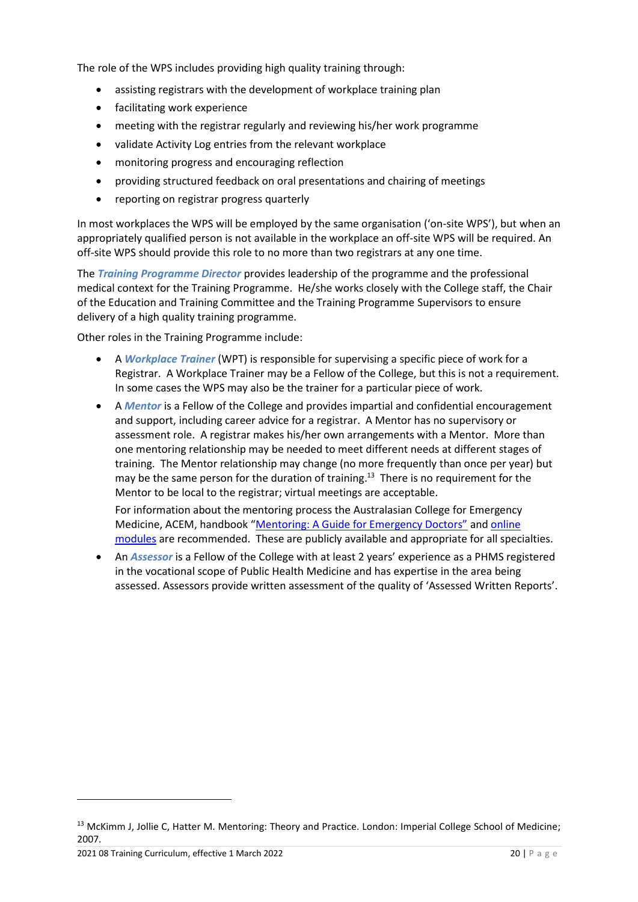The role of the WPS includes providing high quality training through:

- assisting registrars with the development of workplace training plan
- facilitating work experience
- meeting with the registrar regularly and reviewing his/her work programme
- validate Activity Log entries from the relevant workplace
- monitoring progress and encouraging reflection
- providing structured feedback on oral presentations and chairing of meetings
- reporting on registrar progress quarterly

In most workplaces the WPS will be employed by the same organisation ('on-site WPS'), but when an appropriately qualified person is not available in the workplace an off-site WPS will be required. An off-site WPS should provide this role to no more than two registrars at any one time.

The *Training Programme Director* provides leadership of the programme and the professional medical context for the Training Programme. He/she works closely with the College staff, the Chair of the Education and Training Committee and the Training Programme Supervisors to ensure delivery of a high quality training programme.

Other roles in the Training Programme include:

- A *Workplace Trainer* (WPT) is responsible for supervising a specific piece of work for a Registrar. A Workplace Trainer may be a Fellow of the College, but this is not a requirement. In some cases the WPS may also be the trainer for a particular piece of work.
- A *Mentor* is a Fellow of the College and provides impartial and confidential encouragement and support, including career advice for a registrar. A Mentor has no supervisory or assessment role. A registrar makes his/her own arrangements with a Mentor. More than one mentoring relationship may be needed to meet different needs at different stages of training. The Mentor relationship may change (no more frequently than once per year) but may be the same person for the duration of training.<sup>13</sup> There is no requirement for the Mentor to be local to the registrar; virtual meetings are acceptable.

For information about the mentoring process the Australasian College for Emergency Medicine, ACEM, handbook ["Mentoring: A Guide for Emergency Doctors"](https://www.gcs16.com/uploads/1/7/9/2/17925143/mentoring-a-guide-for-for-emergency-doctors.pdf) and [online](https://acem.org.au/Content-Sources/Members/Advancing-My-Career)  [modules](https://acem.org.au/Content-Sources/Members/Advancing-My-Career) are recommended. These are publicly available and appropriate for all specialties.

• An *Assessor* is a Fellow of the College with at least 2 years' experience as a PHMS registered in the vocational scope of Public Health Medicine and has expertise in the area being assessed. Assessors provide written assessment of the quality of 'Assessed Written Reports'.

<sup>&</sup>lt;sup>13</sup> McKimm J, Jollie C, Hatter M. Mentoring: Theory and Practice. London: Imperial College School of Medicine; 2007.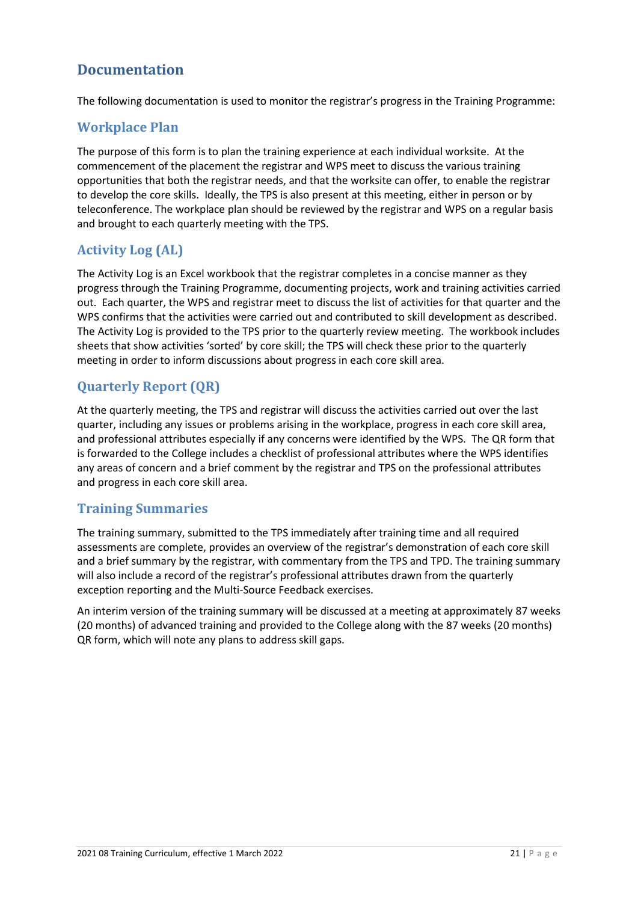### <span id="page-20-0"></span>**Documentation**

The following documentation is used to monitor the registrar's progress in the Training Programme:

### <span id="page-20-1"></span>**Workplace Plan**

The purpose of this form is to plan the training experience at each individual worksite. At the commencement of the placement the registrar and WPS meet to discuss the various training opportunities that both the registrar needs, and that the worksite can offer, to enable the registrar to develop the core skills. Ideally, the TPS is also present at this meeting, either in person or by teleconference. The workplace plan should be reviewed by the registrar and WPS on a regular basis and brought to each quarterly meeting with the TPS.

### <span id="page-20-2"></span>**Activity Log (AL)**

The Activity Log is an Excel workbook that the registrar completes in a concise manner as they progress through the Training Programme, documenting projects, work and training activities carried out. Each quarter, the WPS and registrar meet to discuss the list of activities for that quarter and the WPS confirms that the activities were carried out and contributed to skill development as described. The Activity Log is provided to the TPS prior to the quarterly review meeting. The workbook includes sheets that show activities 'sorted' by core skill; the TPS will check these prior to the quarterly meeting in order to inform discussions about progress in each core skill area.

### <span id="page-20-3"></span>**Quarterly Report (QR)**

At the quarterly meeting, the TPS and registrar will discuss the activities carried out over the last quarter, including any issues or problems arising in the workplace, progress in each core skill area, and professional attributes especially if any concerns were identified by the WPS. The QR form that is forwarded to the College includes a checklist of professional attributes where the WPS identifies any areas of concern and a brief comment by the registrar and TPS on the professional attributes and progress in each core skill area.

### <span id="page-20-4"></span>**Training Summaries**

The training summary, submitted to the TPS immediately after training time and all required assessments are complete, provides an overview of the registrar's demonstration of each core skill and a brief summary by the registrar, with commentary from the TPS and TPD. The training summary will also include a record of the registrar's professional attributes drawn from the quarterly exception reporting and the Multi-Source Feedback exercises.

An interim version of the training summary will be discussed at a meeting at approximately 87 weeks (20 months) of advanced training and provided to the College along with the 87 weeks (20 months) QR form, which will note any plans to address skill gaps.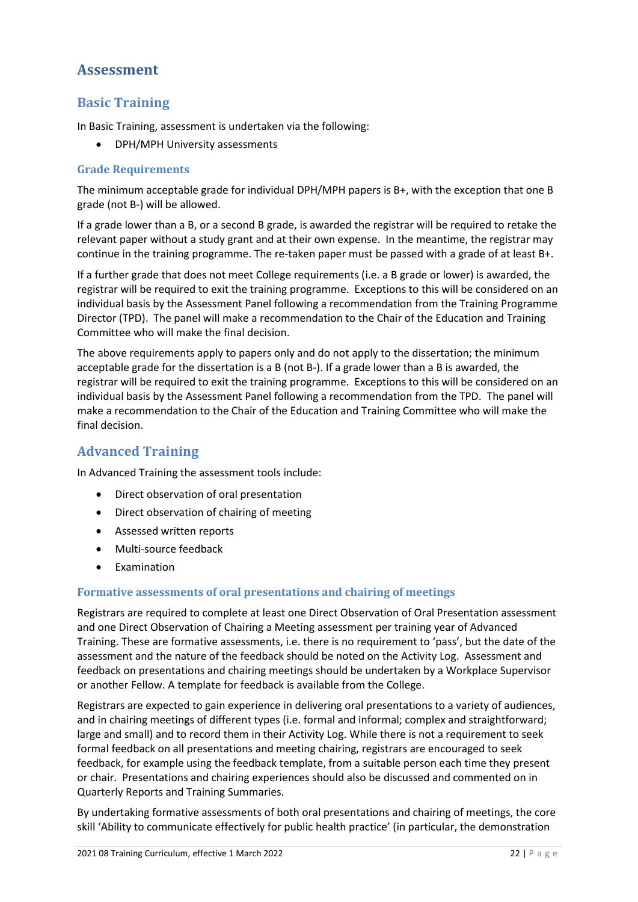### <span id="page-21-0"></span>**Assessment**

### <span id="page-21-1"></span>**Basic Training**

In Basic Training, assessment is undertaken via the following:

• DPH/MPH University assessments

#### <span id="page-21-2"></span>**Grade Requirements**

The minimum acceptable grade for individual DPH/MPH papers is B+, with the exception that one B grade (not B-) will be allowed.

If a grade lower than a B, or a second B grade, is awarded the registrar will be required to retake the relevant paper without a study grant and at their own expense. In the meantime, the registrar may continue in the training programme. The re-taken paper must be passed with a grade of at least B+.

If a further grade that does not meet College requirements (i.e. a B grade or lower) is awarded, the registrar will be required to exit the training programme. Exceptions to this will be considered on an individual basis by the Assessment Panel following a recommendation from the Training Programme Director (TPD). The panel will make a recommendation to the Chair of the Education and Training Committee who will make the final decision.

The above requirements apply to papers only and do not apply to the dissertation; the minimum acceptable grade for the dissertation is a B (not B-). If a grade lower than a B is awarded, the registrar will be required to exit the training programme. Exceptions to this will be considered on an individual basis by the Assessment Panel following a recommendation from the TPD. The panel will make a recommendation to the Chair of the Education and Training Committee who will make the final decision.

### <span id="page-21-3"></span>**Advanced Training**

In Advanced Training the assessment tools include:

- Direct observation of oral presentation
- Direct observation of chairing of meeting
- Assessed written reports
- Multi-source feedback
- Examination

#### <span id="page-21-4"></span>**Formative assessments of oral presentations and chairing of meetings**

Registrars are required to complete at least one Direct Observation of Oral Presentation assessment and one Direct Observation of Chairing a Meeting assessment per training year of Advanced Training. These are formative assessments, i.e. there is no requirement to 'pass', but the date of the assessment and the nature of the feedback should be noted on the Activity Log. Assessment and feedback on presentations and chairing meetings should be undertaken by a Workplace Supervisor or another Fellow. A template for feedback is available from the College.

Registrars are expected to gain experience in delivering oral presentations to a variety of audiences, and in chairing meetings of different types (i.e. formal and informal; complex and straightforward; large and small) and to record them in their Activity Log. While there is not a requirement to seek formal feedback on all presentations and meeting chairing, registrars are encouraged to seek feedback, for example using the feedback template, from a suitable person each time they present or chair. Presentations and chairing experiences should also be discussed and commented on in Quarterly Reports and Training Summaries.

By undertaking formative assessments of both oral presentations and chairing of meetings, the core skill 'Ability to communicate effectively for public health practice' (in particular, the demonstration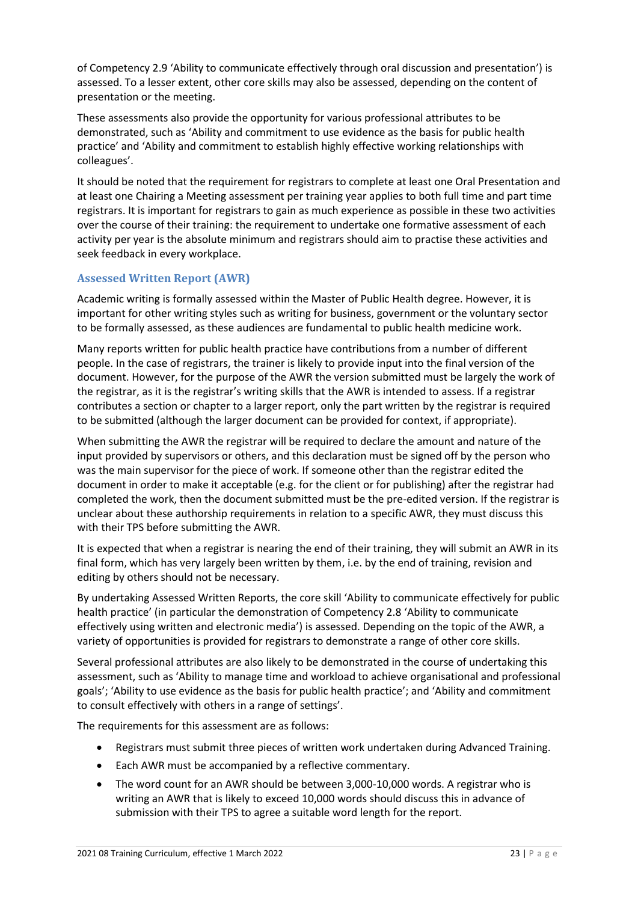of Competency 2.9 'Ability to communicate effectively through oral discussion and presentation') is assessed. To a lesser extent, other core skills may also be assessed, depending on the content of presentation or the meeting.

These assessments also provide the opportunity for various professional attributes to be demonstrated, such as 'Ability and commitment to use evidence as the basis for public health practice' and 'Ability and commitment to establish highly effective working relationships with colleagues'.

It should be noted that the requirement for registrars to complete at least one Oral Presentation and at least one Chairing a Meeting assessment per training year applies to both full time and part time registrars. It is important for registrars to gain as much experience as possible in these two activities over the course of their training: the requirement to undertake one formative assessment of each activity per year is the absolute minimum and registrars should aim to practise these activities and seek feedback in every workplace.

#### <span id="page-22-0"></span>**Assessed Written Report (AWR)**

Academic writing is formally assessed within the Master of Public Health degree. However, it is important for other writing styles such as writing for business, government or the voluntary sector to be formally assessed, as these audiences are fundamental to public health medicine work.

Many reports written for public health practice have contributions from a number of different people. In the case of registrars, the trainer is likely to provide input into the final version of the document. However, for the purpose of the AWR the version submitted must be largely the work of the registrar, as it is the registrar's writing skills that the AWR is intended to assess. If a registrar contributes a section or chapter to a larger report, only the part written by the registrar is required to be submitted (although the larger document can be provided for context, if appropriate).

When submitting the AWR the registrar will be required to declare the amount and nature of the input provided by supervisors or others, and this declaration must be signed off by the person who was the main supervisor for the piece of work. If someone other than the registrar edited the document in order to make it acceptable (e.g. for the client or for publishing) after the registrar had completed the work, then the document submitted must be the pre-edited version. If the registrar is unclear about these authorship requirements in relation to a specific AWR, they must discuss this with their TPS before submitting the AWR.

It is expected that when a registrar is nearing the end of their training, they will submit an AWR in its final form, which has very largely been written by them, i.e. by the end of training, revision and editing by others should not be necessary.

By undertaking Assessed Written Reports, the core skill 'Ability to communicate effectively for public health practice' (in particular the demonstration of Competency 2.8 'Ability to communicate effectively using written and electronic media') is assessed. Depending on the topic of the AWR, a variety of opportunities is provided for registrars to demonstrate a range of other core skills.

Several professional attributes are also likely to be demonstrated in the course of undertaking this assessment, such as 'Ability to manage time and workload to achieve organisational and professional goals'; 'Ability to use evidence as the basis for public health practice'; and 'Ability and commitment to consult effectively with others in a range of settings'.

The requirements for this assessment are as follows:

- Registrars must submit three pieces of written work undertaken during Advanced Training.
- Each AWR must be accompanied by a reflective commentary.
- The word count for an AWR should be between 3,000-10,000 words. A registrar who is writing an AWR that is likely to exceed 10,000 words should discuss this in advance of submission with their TPS to agree a suitable word length for the report.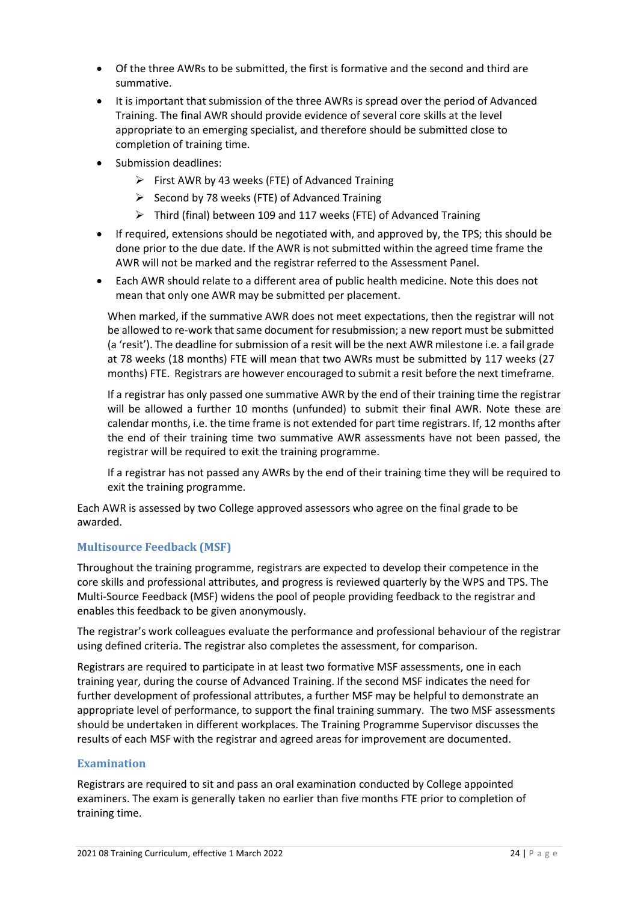- Of the three AWRs to be submitted, the first is formative and the second and third are summative.
- It is important that submission of the three AWRs is spread over the period of Advanced Training. The final AWR should provide evidence of several core skills at the level appropriate to an emerging specialist, and therefore should be submitted close to completion of training time.
- Submission deadlines:
	- ➢ First AWR by 43 weeks (FTE) of Advanced Training
	- ➢ Second by 78 weeks (FTE) of Advanced Training
	- ➢ Third (final) between 109 and 117 weeks (FTE) of Advanced Training
- If required, extensions should be negotiated with, and approved by, the TPS; this should be done prior to the due date. If the AWR is not submitted within the agreed time frame the AWR will not be marked and the registrar referred to the Assessment Panel.
- Each AWR should relate to a different area of public health medicine. Note this does not mean that only one AWR may be submitted per placement.

When marked, if the summative AWR does not meet expectations, then the registrar will not be allowed to re-work that same document for resubmission; a new report must be submitted (a 'resit'). The deadline for submission of a resit will be the next AWR milestone i.e. a fail grade at 78 weeks (18 months) FTE will mean that two AWRs must be submitted by 117 weeks (27 months) FTE. Registrars are however encouraged to submit a resit before the next timeframe.

If a registrar has only passed one summative AWR by the end of their training time the registrar will be allowed a further 10 months (unfunded) to submit their final AWR. Note these are calendar months, i.e. the time frame is not extended for part time registrars. If, 12 months after the end of their training time two summative AWR assessments have not been passed, the registrar will be required to exit the training programme.

If a registrar has not passed any AWRs by the end of their training time they will be required to exit the training programme.

Each AWR is assessed by two College approved assessors who agree on the final grade to be awarded.

#### <span id="page-23-0"></span>**Multisource Feedback (MSF)**

Throughout the training programme, registrars are expected to develop their competence in the core skills and professional attributes, and progress is reviewed quarterly by the WPS and TPS. The Multi-Source Feedback (MSF) widens the pool of people providing feedback to the registrar and enables this feedback to be given anonymously.

The registrar's work colleagues evaluate the performance and professional behaviour of the registrar using defined criteria. The registrar also completes the assessment, for comparison.

Registrars are required to participate in at least two formative MSF assessments, one in each training year, during the course of Advanced Training. If the second MSF indicates the need for further development of professional attributes, a further MSF may be helpful to demonstrate an appropriate level of performance, to support the final training summary. The two MSF assessments should be undertaken in different workplaces. The Training Programme Supervisor discusses the results of each MSF with the registrar and agreed areas for improvement are documented.

#### <span id="page-23-1"></span>**Examination**

Registrars are required to sit and pass an oral examination conducted by College appointed examiners. The exam is generally taken no earlier than five months FTE prior to completion of training time.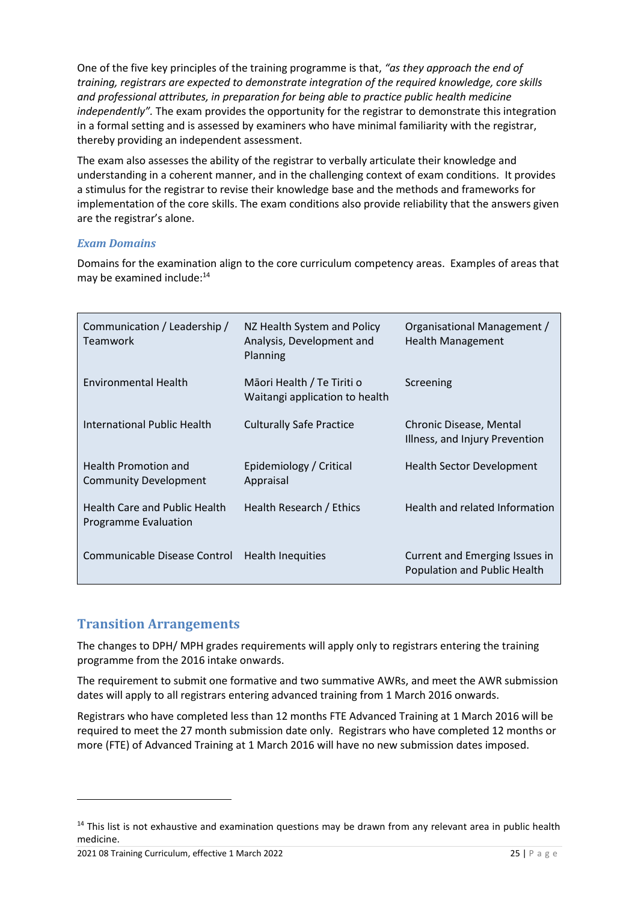One of the five key principles of the training programme is that, *"as they approach the end of training, registrars are expected to demonstrate integration of the required knowledge, core skills and professional attributes, in preparation for being able to practice public health medicine independently".* The exam provides the opportunity for the registrar to demonstrate this integration in a formal setting and is assessed by examiners who have minimal familiarity with the registrar, thereby providing an independent assessment.

The exam also assesses the ability of the registrar to verbally articulate their knowledge and understanding in a coherent manner, and in the challenging context of exam conditions. It provides a stimulus for the registrar to revise their knowledge base and the methods and frameworks for implementation of the core skills. The exam conditions also provide reliability that the answers given are the registrar's alone.

#### *Exam Domains*

Domains for the examination align to the core curriculum competency areas. Examples of areas that may be examined include:<sup>14</sup>

| Communication / Leadership /<br><b>Teamwork</b>              | NZ Health System and Policy<br>Analysis, Development and<br>Planning | Organisational Management /<br><b>Health Management</b>        |
|--------------------------------------------------------------|----------------------------------------------------------------------|----------------------------------------------------------------|
| <b>Environmental Health</b>                                  | Māori Health / Te Tiriti o<br>Waitangi application to health         | Screening                                                      |
| International Public Health                                  | <b>Culturally Safe Practice</b>                                      | Chronic Disease, Mental<br>Illness, and Injury Prevention      |
| <b>Health Promotion and</b><br><b>Community Development</b>  | Epidemiology / Critical<br>Appraisal                                 | <b>Health Sector Development</b>                               |
| Health Care and Public Health<br><b>Programme Evaluation</b> | Health Research / Ethics                                             | Health and related Information                                 |
| Communicable Disease Control                                 | Health Inequities                                                    | Current and Emerging Issues in<br>Population and Public Health |

### <span id="page-24-0"></span>**Transition Arrangements**

The changes to DPH/ MPH grades requirements will apply only to registrars entering the training programme from the 2016 intake onwards.

The requirement to submit one formative and two summative AWRs, and meet the AWR submission dates will apply to all registrars entering advanced training from 1 March 2016 onwards.

Registrars who have completed less than 12 months FTE Advanced Training at 1 March 2016 will be required to meet the 27 month submission date only. Registrars who have completed 12 months or more (FTE) of Advanced Training at 1 March 2016 will have no new submission dates imposed.

<sup>&</sup>lt;sup>14</sup> This list is not exhaustive and examination questions may be drawn from any relevant area in public health medicine.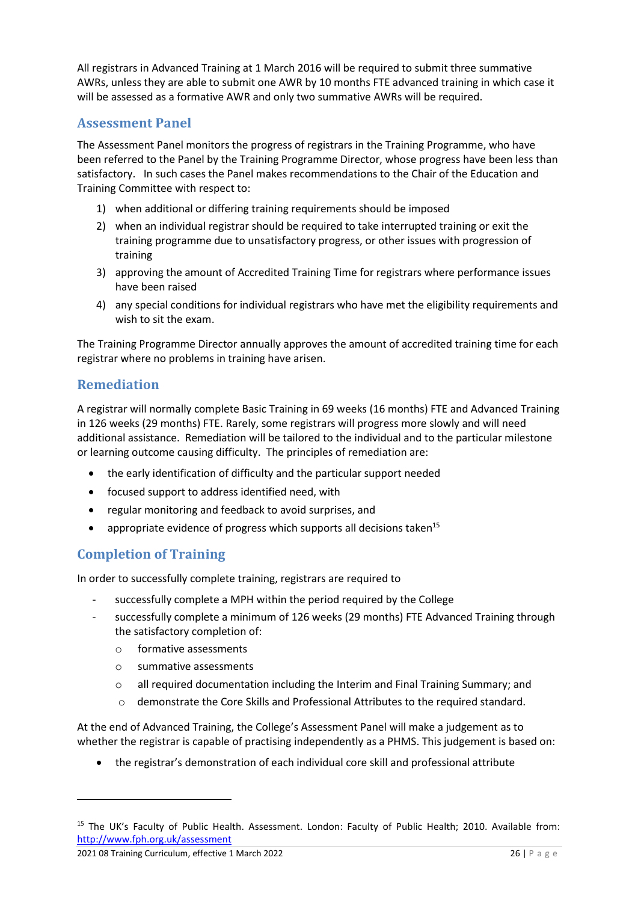All registrars in Advanced Training at 1 March 2016 will be required to submit three summative AWRs, unless they are able to submit one AWR by 10 months FTE advanced training in which case it will be assessed as a formative AWR and only two summative AWRs will be required.

### <span id="page-25-0"></span>**Assessment Panel**

The Assessment Panel monitors the progress of registrars in the Training Programme, who have been referred to the Panel by the Training Programme Director, whose progress have been less than satisfactory. In such cases the Panel makes recommendations to the Chair of the Education and Training Committee with respect to:

- 1) when additional or differing training requirements should be imposed
- 2) when an individual registrar should be required to take interrupted training or exit the training programme due to unsatisfactory progress, or other issues with progression of training
- 3) approving the amount of Accredited Training Time for registrars where performance issues have been raised
- 4) any special conditions for individual registrars who have met the eligibility requirements and wish to sit the exam.

The Training Programme Director annually approves the amount of accredited training time for each registrar where no problems in training have arisen.

### <span id="page-25-1"></span>**Remediation**

A registrar will normally complete Basic Training in 69 weeks (16 months) FTE and Advanced Training in 126 weeks (29 months) FTE. Rarely, some registrars will progress more slowly and will need additional assistance. Remediation will be tailored to the individual and to the particular milestone or learning outcome causing difficulty. The principles of remediation are:

- the early identification of difficulty and the particular support needed
- focused support to address identified need, with
- regular monitoring and feedback to avoid surprises, and
- appropriate evidence of progress which supports all decisions taken<sup>15</sup>

### <span id="page-25-2"></span>**Completion of Training**

In order to successfully complete training, registrars are required to

- successfully complete a MPH within the period required by the College
- successfully complete a minimum of 126 weeks (29 months) FTE Advanced Training through the satisfactory completion of:
	- o formative assessments
	- o summative assessments
	- o all required documentation including the Interim and Final Training Summary; and
	- o demonstrate the Core Skills and Professional Attributes to the required standard.

At the end of Advanced Training, the College's Assessment Panel will make a judgement as to whether the registrar is capable of practising independently as a PHMS. This judgement is based on:

• the registrar's demonstration of each individual core skill and professional attribute

<sup>&</sup>lt;sup>15</sup> The UK's Faculty of Public Health. Assessment. London: Faculty of Public Health; 2010. Available from: <http://www.fph.org.uk/assessment>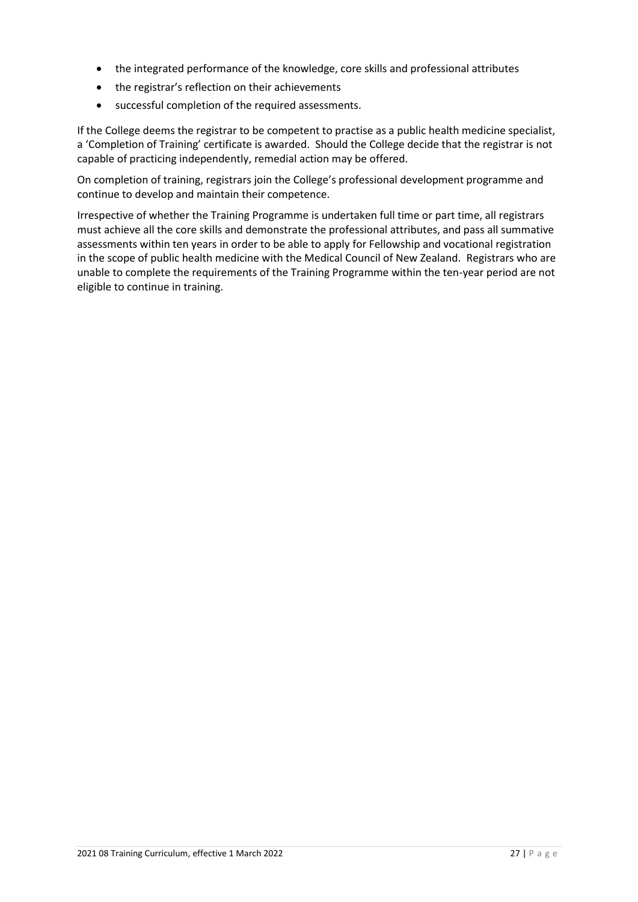- the integrated performance of the knowledge, core skills and professional attributes
- the registrar's reflection on their achievements
- successful completion of the required assessments.

If the College deems the registrar to be competent to practise as a public health medicine specialist, a 'Completion of Training' certificate is awarded. Should the College decide that the registrar is not capable of practicing independently, remedial action may be offered.

On completion of training, registrars join the College's professional development programme and continue to develop and maintain their competence.

Irrespective of whether the Training Programme is undertaken full time or part time, all registrars must achieve all the core skills and demonstrate the professional attributes, and pass all summative assessments within ten years in order to be able to apply for Fellowship and vocational registration in the scope of public health medicine with the Medical Council of New Zealand. Registrars who are unable to complete the requirements of the Training Programme within the ten-year period are not eligible to continue in training.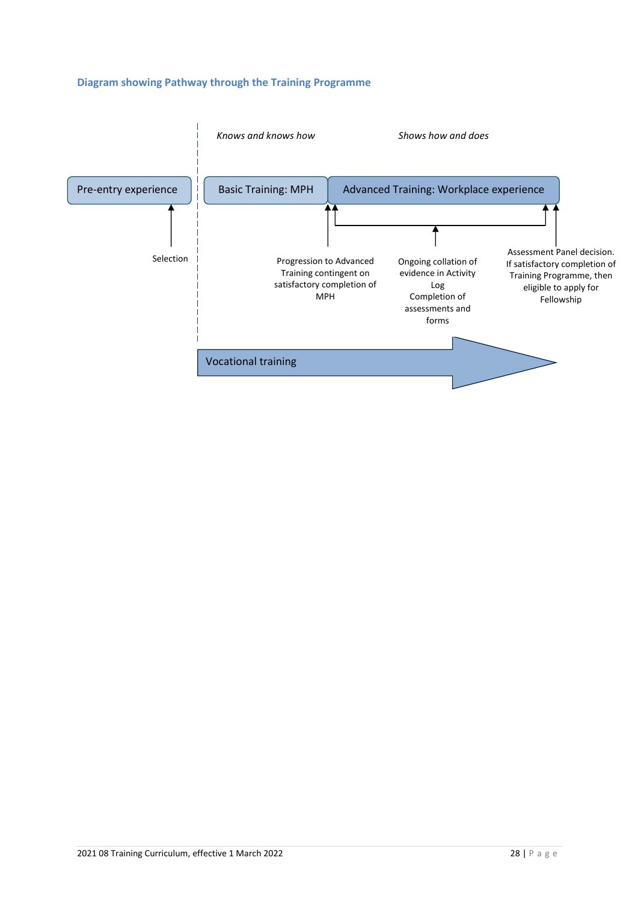#### **Diagram showing Pathway through the Training Programme**

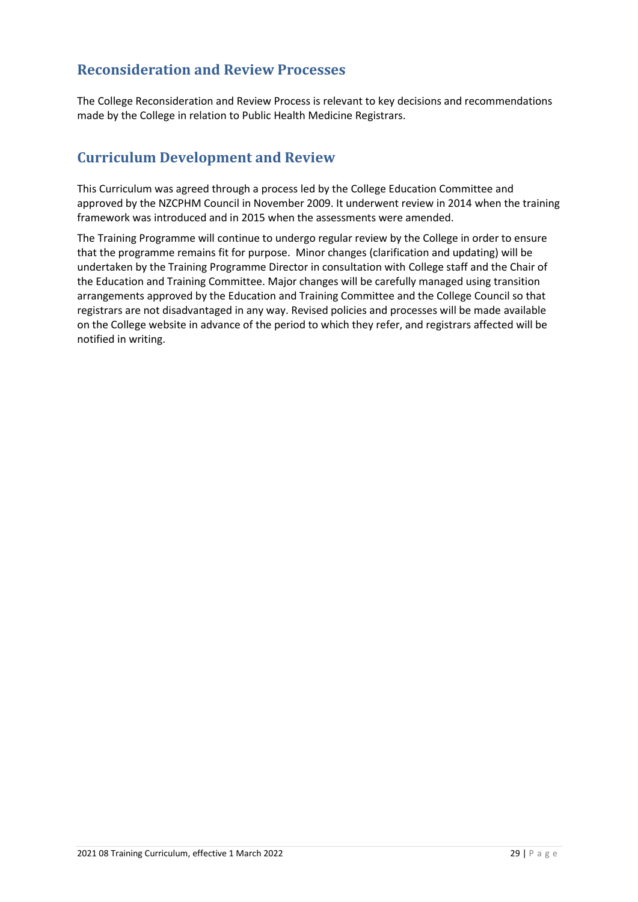### <span id="page-28-0"></span>**Reconsideration and Review Processes**

The College Reconsideration and Review Process is relevant to key decisions and recommendations made by the College in relation to Public Health Medicine Registrars.

### <span id="page-28-1"></span>**Curriculum Development and Review**

This Curriculum was agreed through a process led by the College Education Committee and approved by the NZCPHM Council in November 2009. It underwent review in 2014 when the training framework was introduced and in 2015 when the assessments were amended.

The Training Programme will continue to undergo regular review by the College in order to ensure that the programme remains fit for purpose. Minor changes (clarification and updating) will be undertaken by the Training Programme Director in consultation with College staff and the Chair of the Education and Training Committee. Major changes will be carefully managed using transition arrangements approved by the Education and Training Committee and the College Council so that registrars are not disadvantaged in any way. Revised policies and processes will be made available on the College website in advance of the period to which they refer, and registrars affected will be notified in writing.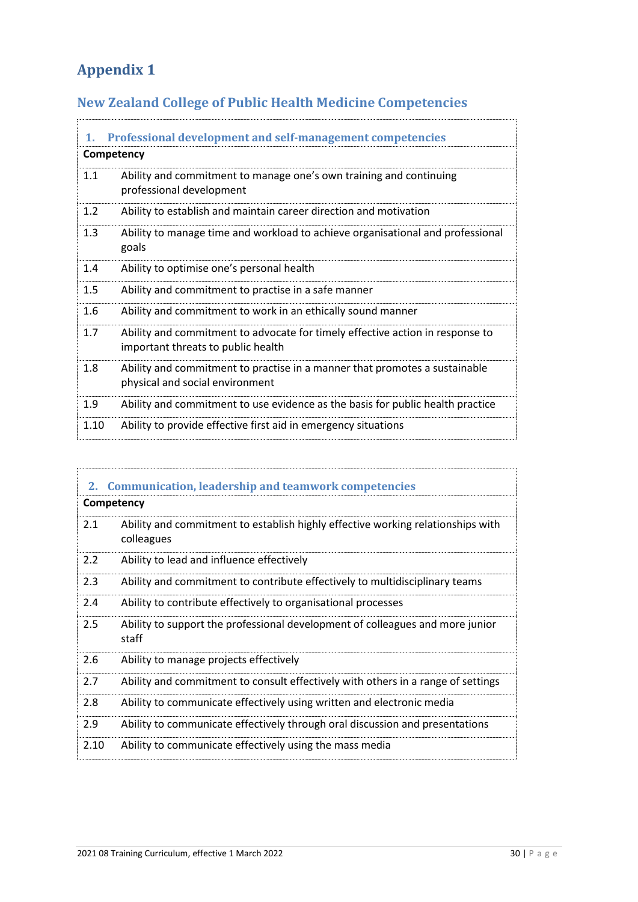# <span id="page-29-0"></span>**Appendix 1**

# <span id="page-29-1"></span>**New Zealand College of Public Health Medicine Competencies**

<span id="page-29-2"></span>

| 1.   | <b>Professional development and self-management competencies</b>                                                    |
|------|---------------------------------------------------------------------------------------------------------------------|
|      | Competency                                                                                                          |
| 1.1  | Ability and commitment to manage one's own training and continuing<br>professional development                      |
| 1.2  | Ability to establish and maintain career direction and motivation                                                   |
| 1.3  | Ability to manage time and workload to achieve organisational and professional<br>goals                             |
| 1.4  | Ability to optimise one's personal health                                                                           |
| 1.5  | Ability and commitment to practise in a safe manner                                                                 |
| 1.6  | Ability and commitment to work in an ethically sound manner                                                         |
| 1.7  | Ability and commitment to advocate for timely effective action in response to<br>important threats to public health |
| 1.8  | Ability and commitment to practise in a manner that promotes a sustainable<br>physical and social environment       |
| 1.9  | Ability and commitment to use evidence as the basis for public health practice                                      |
| 1.10 | Ability to provide effective first aid in emergency situations                                                      |

<span id="page-29-3"></span>

| 2.   | <b>Communication, leadership and teamwork competencies</b>                                    |
|------|-----------------------------------------------------------------------------------------------|
|      | Competency                                                                                    |
| 2.1  | Ability and commitment to establish highly effective working relationships with<br>colleagues |
| 2.2  | Ability to lead and influence effectively                                                     |
| 2.3  | Ability and commitment to contribute effectively to multidisciplinary teams                   |
| 2.4  | Ability to contribute effectively to organisational processes                                 |
| 2.5  | Ability to support the professional development of colleagues and more junior<br>staff        |
| 2.6  | Ability to manage projects effectively                                                        |
| 2.7  | Ability and commitment to consult effectively with others in a range of settings              |
| 2.8  | Ability to communicate effectively using written and electronic media                         |
| 2.9  | Ability to communicate effectively through oral discussion and presentations                  |
| 2.10 | Ability to communicate effectively using the mass media                                       |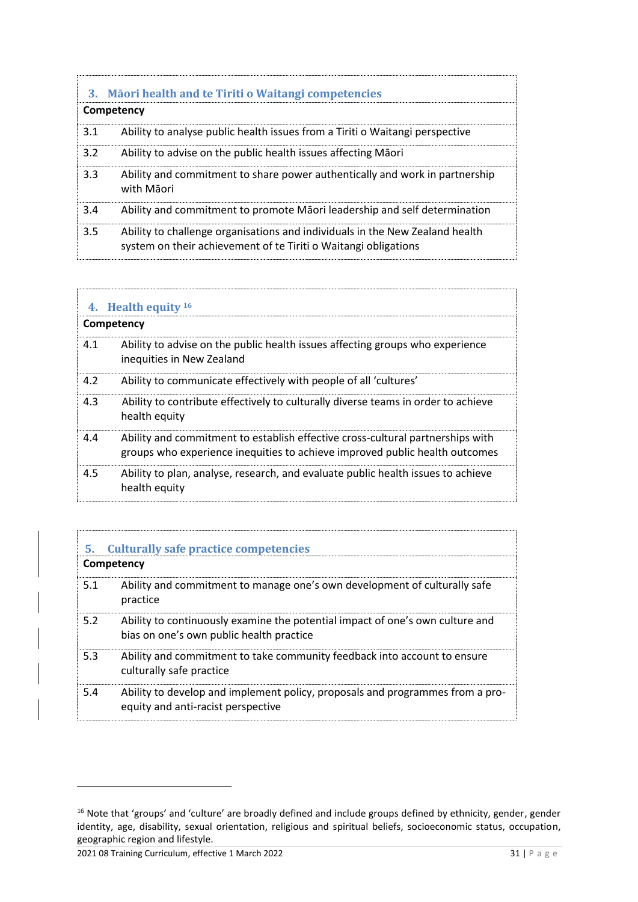<span id="page-30-0"></span>

|     | 3. Māori health and te Tiriti o Waitangi competencies                                                                                           |  |  |
|-----|-------------------------------------------------------------------------------------------------------------------------------------------------|--|--|
|     | Competency                                                                                                                                      |  |  |
| 3.1 | Ability to analyse public health issues from a Tiriti o Waitangi perspective                                                                    |  |  |
| 3.2 | Ability to advise on the public health issues affecting Maori                                                                                   |  |  |
| 3.3 | Ability and commitment to share power authentically and work in partnership<br>with Māori                                                       |  |  |
| 3.4 | Ability and commitment to promote Maori leadership and self determination                                                                       |  |  |
| 3.5 | Ability to challenge organisations and individuals in the New Zealand health<br>system on their achievement of te Tiriti o Waitangi obligations |  |  |

<span id="page-30-1"></span>

|            | 4. Health equity 16                                                                                                                                           |  |  |  |
|------------|---------------------------------------------------------------------------------------------------------------------------------------------------------------|--|--|--|
| Competency |                                                                                                                                                               |  |  |  |
| 4.1        | Ability to advise on the public health issues affecting groups who experience<br>inequities in New Zealand                                                    |  |  |  |
| 4.2        | Ability to communicate effectively with people of all 'cultures'                                                                                              |  |  |  |
| 4.3        | Ability to contribute effectively to culturally diverse teams in order to achieve<br>health equity                                                            |  |  |  |
| 4.4        | Ability and commitment to establish effective cross-cultural partnerships with<br>groups who experience inequities to achieve improved public health outcomes |  |  |  |
| 4.5        | Ability to plan, analyse, research, and evaluate public health issues to achieve<br>health equity                                                             |  |  |  |

<span id="page-30-2"></span>

| Culturally safe practice competencies<br>5.<br>Competency |                                                                                                                           |
|-----------------------------------------------------------|---------------------------------------------------------------------------------------------------------------------------|
| 5.1                                                       | Ability and commitment to manage one's own development of culturally safe<br>practice                                     |
| 5.2                                                       | Ability to continuously examine the potential impact of one's own culture and<br>bias on one's own public health practice |
| 5.3                                                       | Ability and commitment to take community feedback into account to ensure<br>culturally safe practice                      |
| 5.4                                                       | Ability to develop and implement policy, proposals and programmes from a pro-<br>equity and anti-racist perspective       |

<sup>&</sup>lt;sup>16</sup> Note that 'groups' and 'culture' are broadly defined and include groups defined by ethnicity, gender, gender identity, age, disability, sexual orientation, religious and spiritual beliefs, socioeconomic status, occupation, geographic region and lifestyle.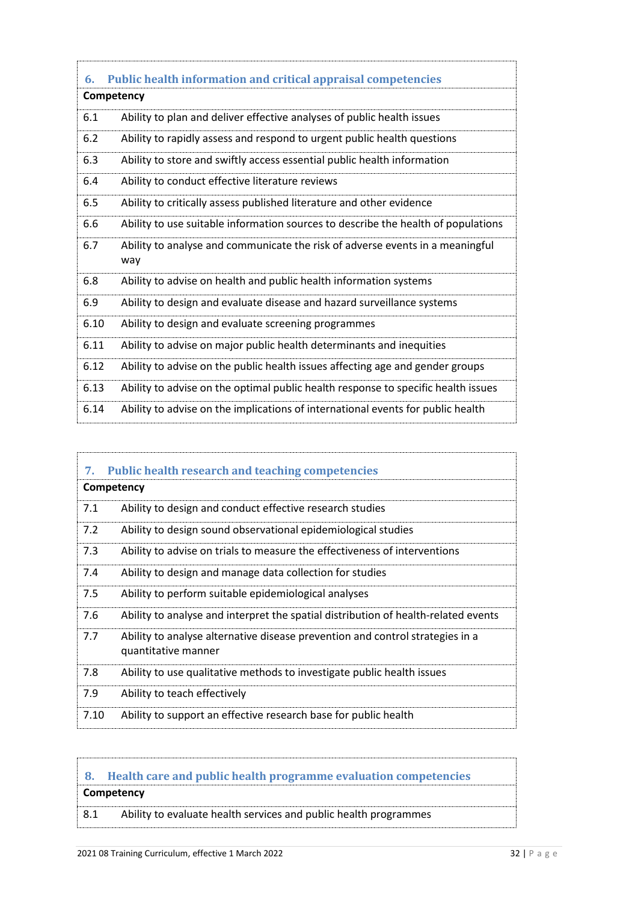<span id="page-31-0"></span>

| 6.   | <b>Public health information and critical appraisal competencies</b>                 |  |
|------|--------------------------------------------------------------------------------------|--|
|      | Competency                                                                           |  |
| 6.1  | Ability to plan and deliver effective analyses of public health issues               |  |
| 6.2  | Ability to rapidly assess and respond to urgent public health questions              |  |
| 6.3  | Ability to store and swiftly access essential public health information              |  |
| 6.4  | Ability to conduct effective literature reviews                                      |  |
| 6.5  | Ability to critically assess published literature and other evidence                 |  |
| 6.6  | Ability to use suitable information sources to describe the health of populations    |  |
| 6.7  | Ability to analyse and communicate the risk of adverse events in a meaningful<br>way |  |
| 6.8  | Ability to advise on health and public health information systems                    |  |
| 6.9  | Ability to design and evaluate disease and hazard surveillance systems               |  |
| 6.10 | Ability to design and evaluate screening programmes                                  |  |
| 6.11 | Ability to advise on major public health determinants and inequities                 |  |
| 6.12 | Ability to advise on the public health issues affecting age and gender groups        |  |
| 6.13 | Ability to advise on the optimal public health response to specific health issues    |  |
| 6.14 | Ability to advise on the implications of international events for public health      |  |
|      |                                                                                      |  |

<span id="page-31-1"></span>

| 7.   | <b>Public health research and teaching competencies</b>                                              |
|------|------------------------------------------------------------------------------------------------------|
|      | Competency                                                                                           |
| 7.1  | Ability to design and conduct effective research studies                                             |
| 7.2  | Ability to design sound observational epidemiological studies                                        |
| 7.3  | Ability to advise on trials to measure the effectiveness of interventions                            |
| 7.4  | Ability to design and manage data collection for studies                                             |
| 7.5  | Ability to perform suitable epidemiological analyses                                                 |
| 7.6  | Ability to analyse and interpret the spatial distribution of health-related events                   |
| 7.7  | Ability to analyse alternative disease prevention and control strategies in a<br>quantitative manner |
| 7.8  | Ability to use qualitative methods to investigate public health issues                               |
| 7.9  | Ability to teach effectively                                                                         |
| 7.10 | Ability to support an effective research base for public health                                      |

# <span id="page-31-2"></span>**8. Health care and public health programme evaluation competencies Competency**

8.1 Ability to evaluate health services and public health programmes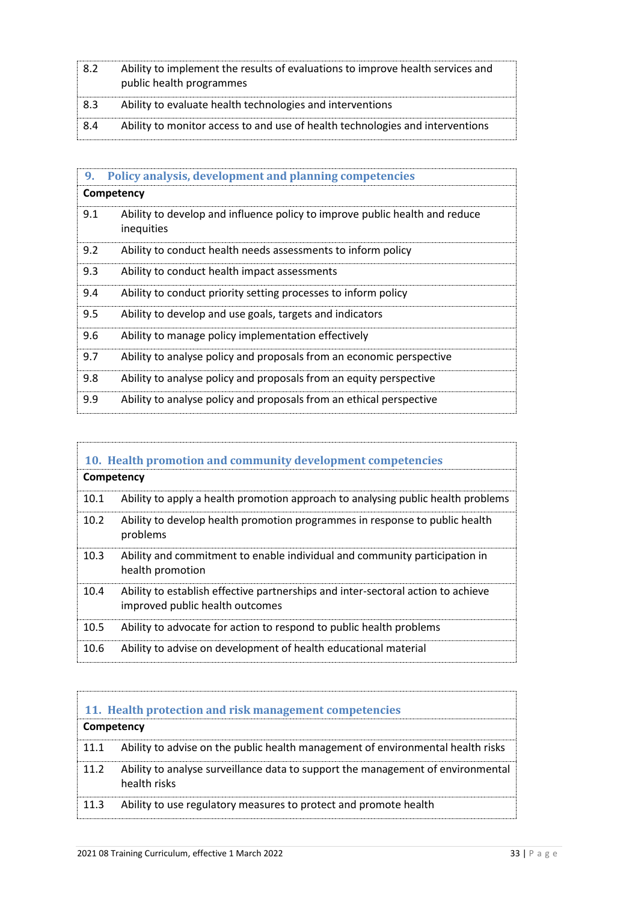| 8.2 | Ability to implement the results of evaluations to improve health services and<br>public health programmes |
|-----|------------------------------------------------------------------------------------------------------------|
| 8.3 | Ability to evaluate health technologies and interventions                                                  |
| 8.4 | Ability to monitor access to and use of health technologies and interventions                              |

<span id="page-32-0"></span>

| 9.  | Policy analysis, development and planning competencies                                    |
|-----|-------------------------------------------------------------------------------------------|
|     | Competency                                                                                |
| 9.1 | Ability to develop and influence policy to improve public health and reduce<br>inequities |
| 9.2 | Ability to conduct health needs assessments to inform policy                              |
| 9.3 | Ability to conduct health impact assessments                                              |
| 9.4 | Ability to conduct priority setting processes to inform policy                            |
| 9.5 | Ability to develop and use goals, targets and indicators                                  |
| 9.6 | Ability to manage policy implementation effectively                                       |
| 9.7 | Ability to analyse policy and proposals from an economic perspective                      |
| 9.8 | Ability to analyse policy and proposals from an equity perspective                        |
| 9.9 | Ability to analyse policy and proposals from an ethical perspective                       |

<span id="page-32-1"></span>

| 10. Health promotion and community development competencies |                                                                                                                     |  |
|-------------------------------------------------------------|---------------------------------------------------------------------------------------------------------------------|--|
|                                                             | Competency                                                                                                          |  |
| 10.1                                                        | Ability to apply a health promotion approach to analysing public health problems                                    |  |
| 10.2                                                        | Ability to develop health promotion programmes in response to public health<br>problems                             |  |
| 10.3                                                        | Ability and commitment to enable individual and community participation in<br>health promotion                      |  |
| 10.4                                                        | Ability to establish effective partnerships and inter-sectoral action to achieve<br>improved public health outcomes |  |
| 10.5                                                        | Ability to advocate for action to respond to public health problems                                                 |  |
| 10.6                                                        | Ability to advise on development of health educational material                                                     |  |

<span id="page-32-2"></span>

| 11. Health protection and risk management competencies |                                                                                                 |
|--------------------------------------------------------|-------------------------------------------------------------------------------------------------|
| Competency                                             |                                                                                                 |
|                                                        | 11.1 Ability to advise on the public health management of environmental health risks            |
| 11.2                                                   | Ability to analyse surveillance data to support the management of environmental<br>health risks |
|                                                        | 11.3 Ability to use regulatory measures to protect and promote health                           |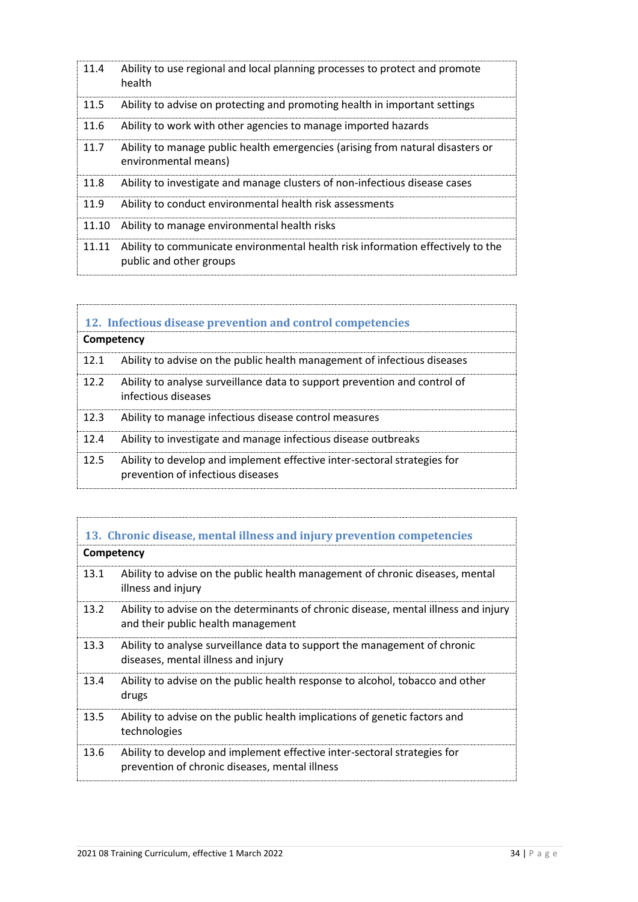| 11.4  | Ability to use regional and local planning processes to protect and promote<br>health                      |
|-------|------------------------------------------------------------------------------------------------------------|
| 11.5  | Ability to advise on protecting and promoting health in important settings                                 |
| 11.6  | Ability to work with other agencies to manage imported hazards                                             |
| 11.7  | Ability to manage public health emergencies (arising from natural disasters or<br>environmental means)     |
| 11.8  | Ability to investigate and manage clusters of non-infectious disease cases                                 |
| 11.9  | Ability to conduct environmental health risk assessments                                                   |
| 11.10 | Ability to manage environmental health risks                                                               |
| 11.11 | Ability to communicate environmental health risk information effectively to the<br>public and other groups |

<span id="page-33-0"></span>

| 12. Infectious disease prevention and control competencies<br>Competency |                                                                                                               |
|--------------------------------------------------------------------------|---------------------------------------------------------------------------------------------------------------|
| 12.1                                                                     | Ability to advise on the public health management of infectious diseases                                      |
| 12.2                                                                     | Ability to analyse surveillance data to support prevention and control of<br>infectious diseases              |
| 12.3                                                                     | Ability to manage infectious disease control measures                                                         |
| 12.4                                                                     | Ability to investigate and manage infectious disease outbreaks                                                |
| 12.5                                                                     | Ability to develop and implement effective inter-sectoral strategies for<br>prevention of infectious diseases |

|            | 13. Chronic disease, mental illness and injury prevention competencies                                                     |  |
|------------|----------------------------------------------------------------------------------------------------------------------------|--|
| Competency |                                                                                                                            |  |
| 13.1       | Ability to advise on the public health management of chronic diseases, mental<br>illness and injury                        |  |
| 13.2       | Ability to advise on the determinants of chronic disease, mental illness and injury<br>and their public health management  |  |
| 13.3       | Ability to analyse surveillance data to support the management of chronic<br>diseases, mental illness and injury           |  |
| 13.4       | Ability to advise on the public health response to alcohol, tobacco and other<br>drugs                                     |  |
| 13.5       | Ability to advise on the public health implications of genetic factors and<br>technologies                                 |  |
| 13.6       | Ability to develop and implement effective inter-sectoral strategies for<br>prevention of chronic diseases, mental illness |  |

<span id="page-33-1"></span>y